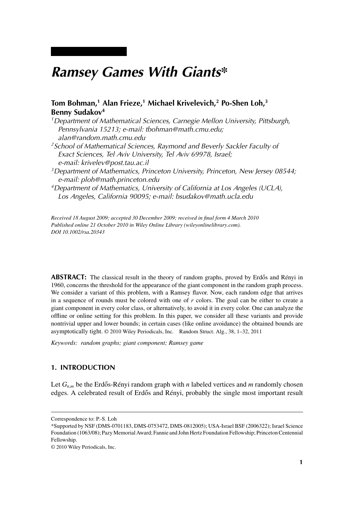# *Ramsey Games With Giants\**

# **Tom Bohman,1 Alan Frieze,1 Michael Krivelevich,2 Po-Shen Loh,3 Benny Sudakov4**

- *1Department of Mathematical Sciences, Carnegie Mellon University, Pittsburgh, Pennsylvania 15213; e-mail: tbohman@math.cmu.edu; alan@random.math.cmu.edu*
- *2School of Mathematical Sciences, Raymond and Beverly Sackler Faculty of Exact Sciences, Tel Aviv University, Tel Aviv 69978, Israel; e-mail: krivelev@post.tau.ac.il*
- *3Department of Mathematics, Princeton University, Princeton, New Jersey 08544; e-mail: ploh@math.princeton.edu*
- *4Department of Mathematics, University of California at Los Angeles (UCLA), Los Angeles, California 90095; e-mail: bsudakov@math.ucla.edu*

*Received 18 August 2009; accepted 30 December 2009; received in final form 4 March 2010 Published online 21 October 2010 in Wiley Online Library (wileyonlinelibrary.com). DOI 10.1002/rsa.20343*

**ABSTRACT:** The classical result in the theory of random graphs, proved by Erdős and Rényi in 1960, concerns the threshold for the appearance of the giant component in the random graph process. We consider a variant of this problem, with a Ramsey flavor. Now, each random edge that arrives in a sequence of rounds must be colored with one of *r* colors. The goal can be either to create a giant component in every color class, or alternatively, to avoid it in every color. One can analyze the offline or online setting for this problem. In this paper, we consider all these variants and provide nontrivial upper and lower bounds; in certain cases (like online avoidance) the obtained bounds are asymptotically tight. © 2010 Wiley Periodicals, Inc. Random Struct. Alg., 38, 1–32, 2011

*Keywords: random graphs; giant component; Ramsey game*

# **1. INTRODUCTION**

Let  $G_{n,m}$  be the Erdős-Rényi random graph with  $n$  labeled vertices and  $m$  randomly chosen edges. A celebrated result of Erdős and Rényi, probably the single most important result

Correspondence to: P.-S. Loh

<sup>\*</sup>Supported by NSF (DMS-0701183, DMS-0753472, DMS-0812005); USA-Israel BSF (2006322); Israel Science Foundation (1063/08); Pazy Memorial Award; Fannie and John Hertz Foundation Fellowship; Princeton Centennial Fellowship.

<sup>© 2010</sup> Wiley Periodicals, Inc.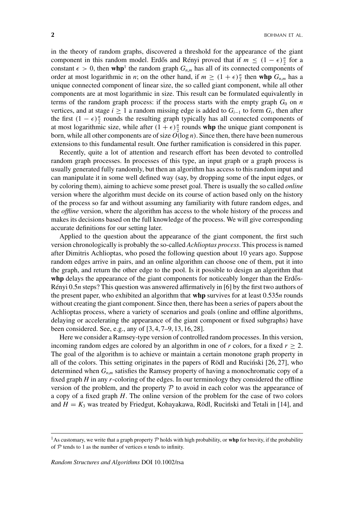in the theory of random graphs, discovered a threshold for the appearance of the giant component in this random model. Erdős and Rényi proved that if  $m \leq (1 - \epsilon) \frac{n}{2}$  for a constant  $\epsilon > 0$ , then whp<sup>1</sup> the random graph  $G_{n,m}$  has all of its connected components of order at most logarithmic in *n*; on the other hand, if  $m \geq (1 + \epsilon) \frac{n}{2}$  then whp  $G_{n,m}$  has a unique connected component of linear size, the so called giant component, while all other components are at most logarithmic in size. This result can be formulated equivalently in terms of the random graph process: if the process starts with the empty graph  $G_0$  on  $n$ vertices, and at stage  $i \ge 1$  a random missing edge is added to  $G_{i-1}$  to form  $G_i$ , then after the first  $(1 - \epsilon) \frac{n}{2}$  rounds the resulting graph typically has all connected components of at most logarithmic size, while after  $(1 + \epsilon) \frac{n}{2}$  rounds whp the unique giant component is born, while all other components are of size *O*(log *n*). Since then, there have been numerous extensions to this fundamental result. One further ramification is considered in this paper.

Recently, quite a lot of attention and research effort has been devoted to controlled random graph processes. In processes of this type, an input graph or a graph process is usually generated fully randomly, but then an algorithm has access to this random input and can manipulate it in some well defined way (say, by dropping some of the input edges, or by coloring them), aiming to achieve some preset goal. There is usually the so called *online* version where the algorithm must decide on its course of action based only on the history of the process so far and without assuming any familiarity with future random edges, and the *offline* version, where the algorithm has access to the whole history of the process and makes its decisions based on the full knowledge of the process. We will give corresponding accurate definitions for our setting later.

Applied to the question about the appearance of the giant component, the first such version chronologically is probably the so-called *Achlioptas process*. This process is named after Dimitris Achlioptas, who posed the following question about 10 years ago. Suppose random edges arrive in pairs, and an online algorithm can choose one of them, put it into the graph, and return the other edge to the pool. Is it possible to design an algorithm that whp delays the appearance of the giant components for noticeably longer than the Erdős-Rényi 0.5*n* steps? This question was answered affirmatively in [6] by the first two authors of the present paper, who exhibited an algorithm that **whp** survives for at least 0.535*n* rounds without creating the giant component. Since then, there has been a series of papers about the Achlioptas process, where a variety of scenarios and goals (online and offline algorithms, delaying or accelerating the appearance of the giant component or fixed subgraphs) have been considered. See, e.g., any of [3, 4, 7–9, 13, 16, 28].

Here we consider a Ramsey-type version of controlled random processes. In this version, incoming random edges are colored by an algorithm in one of *r* colors, for a fixed  $r \geq 2$ . The goal of the algorithm is to achieve or maintain a certain monotone graph property in all of the colors. This setting originates in the papers of Rödl and Rucinski  $[26, 27]$ , who determined when  $G_{n,m}$  satisfies the Ramsey property of having a monochromatic copy of a fixed graph *H* in any *r*-coloring of the edges. In our terminology they considered the offline version of the problem, and the property  $P$  to avoid in each color was the appearance of a copy of a fixed graph *H*. The online version of the problem for the case of two colors and  $H = K_3$  was treated by Friedgut, Kohayakawa, Rödl, Rucinski and Tetali in [14], and

<sup>1</sup>As customary, we write that a graph property <sup>P</sup> holds with high probability, or **whp** for brevity, if the probability of  $P$  tends to 1 as the number of vertices *n* tends to infinity.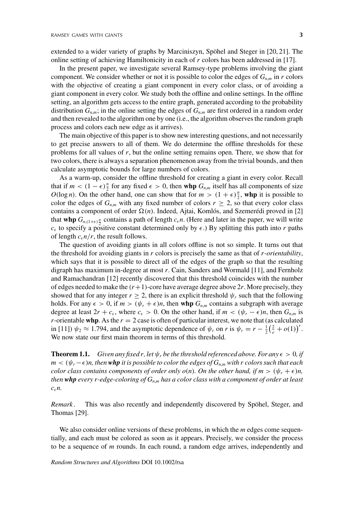extended to a wider variety of graphs by Marciniszyn, Spöhel and Steger in [20, 21]. The online setting of achieving Hamiltonicity in each of *r* colors has been addressed in [17].

In the present paper, we investigate several Ramsey-type problems involving the giant component. We consider whether or not it is possible to color the edges of  $G_{nm}$  in *r* colors with the objective of creating a giant component in every color class, or of avoiding a giant component in every color. We study both the offline and online settings. In the offline setting, an algorithm gets access to the entire graph, generated according to the probability distribution  $G_{n,m}$ ; in the online setting the edges of  $G_{n,m}$  are first ordered in a random order and then revealed to the algorithm one by one (i.e., the algorithm observes the random graph process and colors each new edge as it arrives).

The main objective of this paper is to show new interesting questions, and not necessarily to get precise answers to all of them. We do determine the offline thresholds for these problems for all values of *r*, but the online setting remains open. There, we show that for two colors, there is always a separation phenomenon away from the trivial bounds, and then calculate asymptotic bounds for large numbers of colors.

As a warm-up, consider the offline threshold for creating a giant in every color. Recall that if  $m < (1 - \epsilon) \frac{n}{2}$  for any fixed  $\epsilon > 0$ , then **whp**  $G_{n,m}$  itself has all components of size *O*(log *n*). On the other hand, one can show that for  $m > (1 + \epsilon) \frac{n}{2}$ , whp it is possible to color the edges of  $G_{n,m}$  with any fixed number of colors  $r \geq 2$ , so that every color class contains a component of order  $\Omega(n)$ . Indeed, Ajtai, Komlós, and Szemerédi proved in [2] that **whp**  $G_{n,(1+\epsilon)\frac{n}{2}}$  contains a path of length  $c_{\epsilon}n$ . (Here and later in the paper, we will write  $c_{\epsilon}$  to specify a positive constant determined only by  $\epsilon$ .) By splitting this path into *r* paths of length  $c_{\epsilon}n/r$ , the result follows.

The question of avoiding giants in all colors offline is not so simple. It turns out that the threshold for avoiding giants in *r* colors is precisely the same as that of *r-orientability*, which says that it is possible to direct all of the edges of the graph so that the resulting digraph has maximum in-degree at most *r*. Cain, Sanders and Wormald [11], and Fernholz and Ramachandran [12] recently discovered that this threshold coincides with the number of edges needed to make the  $(r+1)$ -core have average degree above  $2r$ . More precisely, they showed that for any integer  $r \geq 2$ , there is an explicit threshold  $\psi_r$  such that the following holds. For any  $\epsilon > 0$ , if  $m > (\psi_r + \epsilon)n$ , then whp  $G_{n,m}$  contains a subgraph with average degree at least  $2r + c_{\epsilon}$ , where  $c_{\epsilon} > 0$ . On the other hand, if  $m < (\psi_r - \epsilon)n$ , then  $G_{n,m}$  is *r*-orientable **whp**. As the  $r = 2$  case is often of particular interest, we note that (as calculated in [11])  $\psi_2 \approx 1.794$ , and the asymptotic dependence of  $\psi_r$  on *r* is  $\psi_r = r - \frac{1}{2}(\frac{2}{e} + o(1))^r$ . We now state our first main theorem in terms of this threshold.

**Theorem 1.1.** *Given any fixed r, let*  $\psi_r$  *be the threshold referenced above. For any*  $\epsilon > 0$ , *if*  $m < (\psi_r - \epsilon)n$ , then **whp** it is possible to color the edges of  $G_{n,m}$  with r colors such that each *color class contains components of order only*  $o(n)$ *. On the other hand, if*  $m > (\psi_r + \epsilon)n$ , *then whp every r-edge-coloring of Gn*,*<sup>m</sup> has a color class with a component of order at least*  $c_{\epsilon}$ *n.* 

*Remark .* This was also recently and independently discovered by Spöhel, Steger, and Thomas [29].

We also consider online versions of these problems, in which the *m* edges come sequentially, and each must be colored as soon as it appears. Precisely, we consider the process to be a sequence of *m* rounds. In each round, a random edge arrives, independently and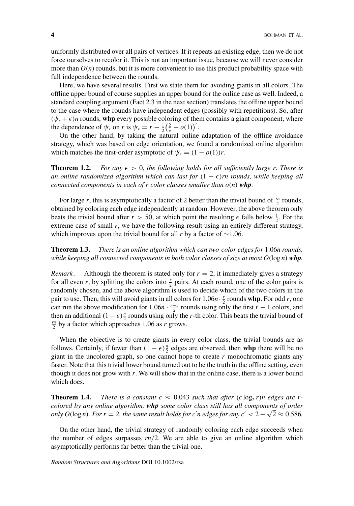uniformly distributed over all pairs of vertices. If it repeats an existing edge, then we do not force ourselves to recolor it. This is not an important issue, because we will never consider more than  $O(n)$  rounds, but it is more convenient to use this product probability space with full independence between the rounds.

Here, we have several results. First we state them for avoiding giants in all colors. The offline upper bound of course supplies an upper bound for the online case as well. Indeed, a standard coupling argument (Fact 2.3 in the next section) translates the offline upper bound to the case where the rounds have independent edges (possibly with repetitions). So, after  $(\psi_r + \epsilon)n$  rounds, whp every possible coloring of them contains a giant component, where the dependence of  $\psi_r$  on *r* is  $\psi_r = r - \frac{1}{2}(\frac{2}{e} + o(1))^r$ .

On the other hand, by taking the natural online adaptation of the offline avoidance strategy, which was based on edge orientation, we found a randomized online algorithm which matches the first-order asymptotic of  $\psi_r = (1 - o(1))r$ .

**Theorem 1.2.** For any  $\epsilon > 0$ , the following holds for all sufficiently large r. There is *an online randomized algorithm which can last for*  $(1 - \epsilon)$ *rn rounds, while keeping all connected components in each of r color classes smaller than*  $o(n)$  *whp.* 

For large *r*, this is asymptotically a factor of 2 better than the trivial bound of  $\frac{m}{2}$  rounds, obtained by coloring each edge independently at random. However, the above theorem only beats the trivial bound after  $r > 50$ , at which point the resulting  $\epsilon$  falls below  $\frac{1}{2}$ . For the extreme case of small *r*, we have the following result using an entirely different strategy, which improves upon the trivial bound for all *r* by a factor of ∼1.06.

**Theorem 1.3.** *There is an online algorithm which can two-color edges for* 1.06*n rounds, while keeping all connected components in both color classes of size at most O*(log *n*) *whp.*

*Remark.* Although the theorem is stated only for  $r = 2$ , it immediately gives a strategy for all even *r*, by splitting the colors into  $\frac{r}{2}$  pairs. At each round, one of the color pairs is randomly chosen, and the above algorithm is used to decide which of the two colors in the pair to use. Then, this will avoid giants in all colors for  $1.06n \cdot \frac{r}{2}$  rounds whp. For odd *r*, one can run the above modification for  $1.06n \cdot \frac{r-1}{2}$  rounds using only the first *r* − 1 colors, and then an additional  $(1 - \epsilon) \frac{n}{2}$  rounds using only the *r*-th color. This beats the trivial bound of  $r^n$  by a factor which approaches 1.06 as *r* grows  $\frac{m}{2}$  by a factor which approaches 1.06 as *r* grows.

When the objective is to create giants in every color class, the trivial bounds are as follows. Certainly, if fewer than  $(1 - \epsilon) \frac{n}{2}$  edges are observed, then **whp** there will be no giant in the uncolored graph, so one cannot hope to create  $r$  monochromatic giants any faster. Note that this trivial lower bound turned out to be the truth in the offline setting, even though it does not grow with *r*. We will show that in the online case, there is a lower bound which does.

**Theorem 1.4.** *There is a constant*  $c \approx 0.043$  *such that after*  $(c \log_2 r)n$  *edges are rcolored by any online algorithm, whp some color class still has all components of order only O*(log *n*)*. For r* = 2*, the same result holds for c'n edges for any c'* <  $2 - \sqrt{2} \approx 0.586$ .

On the other hand, the trivial strategy of randomly coloring each edge succeeds when the number of edges surpasses  $rn/2$ . We are able to give an online algorithm which asymptotically performs far better than the trivial one.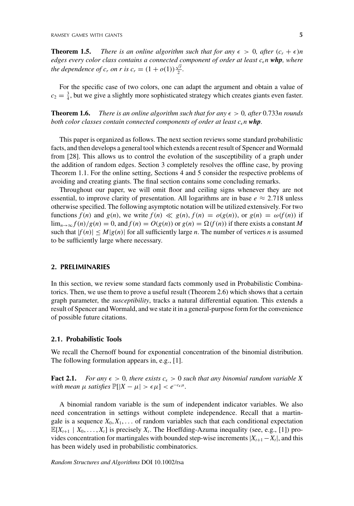**Theorem 1.5.** *There is an online algorithm such that for any*  $\epsilon > 0$ , *after*  $(c_r + \epsilon)n$ *edges every color class contains a connected component of order at least*  $c_{\epsilon}$ *<i>n* **whp**, where *the dependence of c<sub>r</sub> on r is*  $c_r = (1 + o(1)) \frac{\sqrt{r}}{2}$ *.* 

For the specific case of two colors, one can adapt the argument and obtain a value of  $c_2 = \frac{3}{4}$ , but we give a slightly more sophisticated strategy which creates giants even faster.

**Theorem 1.6.** *There is an online algorithm such that for any*  $\epsilon > 0$ , *after* 0.733*n rounds both color classes contain connected components of order at least cn whp.*

This paper is organized as follows. The next section reviews some standard probabilistic facts, and then develops a general tool which extends a recent result of Spencer and Wormald from [28]. This allows us to control the evolution of the susceptibility of a graph under the addition of random edges. Section 3 completely resolves the offline case, by proving Theorem 1.1. For the online setting, Sections 4 and 5 consider the respective problems of avoiding and creating giants. The final section contains some concluding remarks.

Throughout our paper, we will omit floor and ceiling signs whenever they are not essential, to improve clarity of presentation. All logarithms are in base  $e \approx 2.718$  unless otherwise specified. The following asymptotic notation will be utilized extensively. For two functions  $f(n)$  and  $g(n)$ , we write  $f(n) \ll g(n)$ ,  $f(n) = o(g(n))$ , or  $g(n) = \omega(f(n))$  if  $\lim_{n\to\infty} f(n)/g(n) = 0$ , and  $f(n) = O(g(n))$  or  $g(n) = \Omega(f(n))$  if there exists a constant *M* such that  $|f(n)| \leq M |g(n)|$  for all sufficiently large *n*. The number of vertices *n* is assumed to be sufficiently large where necessary.

### **2. PRELIMINARIES**

In this section, we review some standard facts commonly used in Probabilistic Combinatorics. Then, we use them to prove a useful result (Theorem 2.6) which shows that a certain graph parameter, the *susceptibility*, tracks a natural differential equation. This extends a result of Spencer and Wormald, and we state it in a general-purpose form for the convenience of possible future citations.

#### **2.1. Probabilistic Tools**

We recall the Chernoff bound for exponential concentration of the binomial distribution. The following formulation appears in, e.g., [1].

**Fact 2.1.** *For any*  $\epsilon > 0$ *, there exists*  $c_{\epsilon} > 0$  *such that any binomial random variable X with mean*  $\mu$  *satisfies*  $\mathbb{P}[|X - \mu| > \epsilon \mu] < e^{-c_{\epsilon} \mu}$ .

A binomial random variable is the sum of independent indicator variables. We also need concentration in settings without complete independence. Recall that a martingale is a sequence  $X_0, X_1, \ldots$  of random variables such that each conditional expectation  $\mathbb{E}[X_{t+1} | X_0, \ldots, X_t]$  is precisely  $X_t$ . The Hoeffding-Azuma inequality (see, e.g., [1]) provides concentration for martingales with bounded step-wise increments  $|X_{t+1} - X_t|$ , and this has been widely used in probabilistic combinatorics.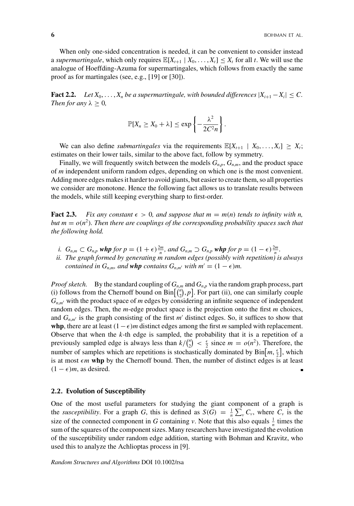When only one-sided concentration is needed, it can be convenient to consider instead a *supermartingale*, which only requires  $\mathbb{E}[X_{t+1} | X_0, \ldots, X_t] \leq X_t$  for all t. We will use the analogue of Hoeffding-Azuma for supermartingales, which follows from exactly the same proof as for martingales (see, e.g., [19] or [30]).

**Fact 2.2.** *Let*  $X_0, \ldots, X_n$  *be a supermartingale, with bounded differences*  $|X_{i+1} - X_i| \leq C$ . *Then for any*  $\lambda \geq 0$ *,* 

$$
\mathbb{P}[X_n \ge X_0 + \lambda] \le \exp\left\{-\frac{\lambda^2}{2C^2n}\right\}
$$

.

We can also define *submartingales* via the requirements  $\mathbb{E}[X_{t+1} | X_0, \ldots, X_t] \geq X_t$ ; estimates on their lower tails, similar to the above fact, follow by symmetry.

Finally, we will frequently switch between the models  $G_{n,p}$ ,  $G_{n,m}$ , and the product space of *m* independent uniform random edges, depending on which one is the most convenient. Adding more edges makes it harder to avoid giants, but easier to create them, so all properties we consider are monotone. Hence the following fact allows us to translate results between the models, while still keeping everything sharp to first-order.

**Fact 2.3.** *Fix any constant*  $\epsilon > 0$ *, and suppose that*  $m = m(n)$  *tends to infinity with n*, *but m* =  $o(n^2)$ *. Then there are couplings of the corresponding probability spaces such that the following hold.*

- *i.*  $G_{n,m} \subset G_{n,p}$  *whp for*  $p = (1 + \epsilon) \frac{2m}{n}$ *, and*  $G_{n,m} \supset G_{n,p}$  *<i>whp for*  $p = (1 \epsilon) \frac{2m}{n}$ .
- *ii. The graph formed by generating m random edges (possibly with repetition) is always contained in*  $G_{n,m}$ *, and whp contains*  $G_{n,m'}$  *with*  $m' = (1 - \epsilon)m$ *.*

*Proof sketch.* By the standard coupling of  $G_{n,m}$  and  $G_{n,p}$  via the random graph process, part (i) follows from the Chernoff bound on  $\text{Bin}\left[\binom{n}{2}, p\right]$ . For part (ii), one can similarly couple  $G_{n,m'}$  with the product space of *m* edges by considering an infinite sequence of independent random edges. Then, the *m*-edge product space is the projection onto the first *m* choices, and  $G_{n,m'}$  is the graph consisting of the first  $m'$  distinct edges. So, it suffices to show that **whp**, there are at least  $(1 - \epsilon)m$  distinct edges among the first *m* sampled with replacement. Observe that when the *k*-th edge is sampled, the probability that it is a repetition of a previously sampled edge is always less than  $k / {n \choose 2} < \frac{\epsilon}{2}$  since  $m = o(n^2)$ . Therefore, the number of samples which are repetitions is stochastically dominated by  $\text{Bin}[m, \frac{\epsilon}{2}]$ , which is at most  $\epsilon m$  whp by the Chernoff bound. Then, the number of distinct edges is at least  $(1 - \epsilon)m$ , as desired.

#### **2.2. Evolution of Susceptibility**

One of the most useful parameters for studying the giant component of a graph is the *susceptibility*. For a graph *G*, this is defined as  $S(G) = \frac{1}{n} \sum_{v} C_v$ , where  $C_v$  is the size of the connected component in *G* containing *v*. Note that this also equals  $\frac{1}{n}$  times the sum of the squares of the component sizes. Many researchers have investigated the evolution of the susceptibility under random edge addition, starting with Bohman and Kravitz, who used this to analyze the Achlioptas process in [9].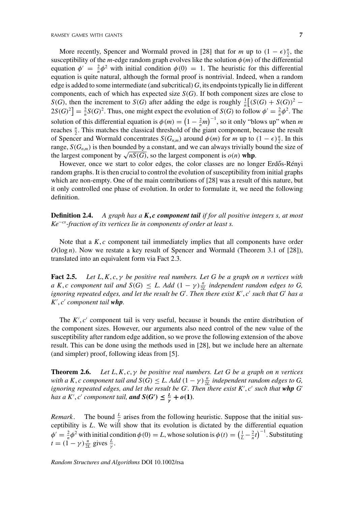More recently, Spencer and Wormald proved in [28] that for *m* up to  $(1 - \epsilon) \frac{n}{2}$ , the susceptibility of the *m*-edge random graph evolves like the solution  $\phi(m)$  of the differential equation  $\phi' = \frac{2}{n}\phi^2$  with initial condition  $\phi(0) = 1$ . The heuristic for this differential equation is quite natural, although the formal proof is nontrivial. Indeed, when a random edge is added to some intermediate (and subcritical) *G*, its endpoints typically lie in different components, each of which has expected size  $S(G)$ . If both component sizes are close to *S*(*G*), then the increment to *S*(*G*) after adding the edge is roughly  $\frac{1}{n}$ [(*S*(*G*) + *S*(*G*))<sup>2</sup> −  $2S(G)^2$  =  $\frac{2}{n}S(G)^2$ . Thus, one might expect the evolution of *S*(*G*) to follow  $\phi' = \frac{2}{n}\phi^2$ . The solution of this differential equation is  $\phi(m) = \left(1 - \frac{2}{n}m\right)^{-1}$ , so it only "blows up" when *m* reaches  $\frac{n}{2}$ . This matches the classical threshold of the giant component, because the result of Spencer and Wormald concentrates  $S(G_{n,m})$  around  $\phi(m)$  for *m* up to  $(1 - \epsilon) \frac{n}{2}$ . In this range,  $S(G_{n,m})$  is then bounded by a constant, and we can always trivially bound the size of the largest component by  $\sqrt{nS(G)}$ , so the largest component is  $o(n)$  whp.

However, once we start to color edges, the color classes are no longer Erdős-Rényi random graphs. It is then crucial to control the evolution of susceptibility from initial graphs which are non-empty. One of the main contributions of [28] was a result of this nature, but it only controlled one phase of evolution. In order to formulate it, we need the following definition.

**Definition 2.4.** *A graph has a K***,** *c component tail if for all positive integers s, at most Ke*−*cs-fraction of its vertices lie in components of order at least s.*

Note that a *K*, *c* component tail immediately implies that all components have order *O*(log *n*). Now we restate a key result of Spencer and Wormald (Theorem 3.1 of [28]), translated into an equivalent form via Fact 2.3.

**Fact 2.5.** *Let L*,*K*, *c*, γ *be positive real numbers. Let G be a graph on n vertices with a K*, *c component tail and*  $S(G) \leq L$ . Add  $(1 - \gamma) \frac{n}{2L}$  *independent random edges to G*, *ignoring repeated edges, and let the result be G . Then there exist K* , *c such that G has a K* , *c component tail whp.*

The  $K', c'$  component tail is very useful, because it bounds the entire distribution of the component sizes. However, our arguments also need control of the new value of the susceptibility after random edge addition, so we prove the following extension of the above result. This can be done using the methods used in [28], but we include here an alternate (and simpler) proof, following ideas from [5].

**Theorem 2.6.** *Let L*,*K*, *c*, γ *be positive real numbers. Let G be a graph on n vertices with a K*, *c component tail and*  $S(G) \leq L$ . Add  $(1 - \gamma) \frac{n}{2L}$  *independent random edges to G*, *ignoring repeated edges, and let the result be G'. Then there exist K', c' such that whp G' has a K'*, *c' component tail, and*  $S(G') \leq \frac{L}{\gamma} + o(1)$ *.* 

*Remark*. The bound  $\frac{L}{\gamma}$  arises from the following heuristic. Suppose that the initial susceptibility is *L*. We will show that its evolution is dictated by the differential equation  $\phi' = \frac{2}{n}\phi^2$  with initial condition  $\phi(0) = L$ , whose solution is  $\phi(t) = \left(\frac{1}{L} - \frac{2}{n}t\right)^{-1}$ . Substituting  $t = (1 - \gamma) \frac{n}{2L}$  gives  $\frac{L}{\gamma}$ .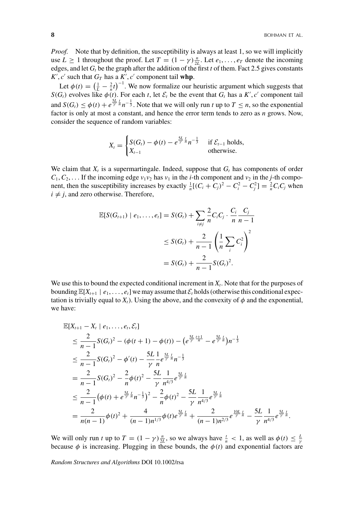*Proof.* Note that by definition, the susceptibility is always at least 1, so we will implicitly use  $L \ge 1$  throughout the proof. Let  $T = (1 - \gamma) \frac{n}{2L}$ . Let  $e_1, \ldots, e_T$  denote the incoming edges, and let  $G_t$  be the graph after the addition of the first *t* of them. Fact 2.5 gives constants  $K'$ ,  $c'$  such that  $G_T$  has a  $K'$ ,  $c'$  component tail **whp**.

Let  $\phi(t) = \left(\frac{1}{L} - \frac{2}{n}t\right)^{-1}$ . We now formalize our heuristic argument which suggests that *S*(*G<sub>t</sub>*) evolves like  $\phi(t)$ . For each *t*, let  $\mathcal{E}_t$  be the event that *G<sub>t</sub>* has a *K'*, *c'* component tail and  $S(G_t) \le \phi(t) + e^{\frac{5L}{\gamma} \frac{t}{n}} n^{-\frac{1}{3}}$ . Note that we will only run *t* up to  $T \le n$ , so the exponential factor is only at most a constant, and hence the error term tends to zero as *n* grows. Now, consider the sequence of random variables:

$$
X_t = \begin{cases} S(G_t) - \phi(t) - e^{\frac{5L}{\gamma} \frac{t}{n}} n^{-\frac{1}{3}} & \text{if } \mathcal{E}_{t-1} \text{ holds,} \\ X_{t-1} & \text{otherwise.} \end{cases}
$$

We claim that  $X_t$  is a supermartingale. Indeed, suppose that  $G_t$  has components of order  $C_1, C_2, \ldots$  If the incoming edge  $v_1v_2$  has  $v_1$  in the *i*-th component and  $v_2$  in the *j*-th component, then the susceptibility increases by exactly  $\frac{1}{n}[(C_i + C_j)^2 - C_i^2 - C_j^2] = \frac{2}{n}C_iC_j$  when  $i \neq j$ , and zero otherwise. Therefore,

$$
\mathbb{E}[S(G_{t+1}) | e_1, \dots, e_t] = S(G_t) + \sum_{i \neq j} \frac{2}{n} C_i C_j \cdot \frac{C_i}{n} \frac{C_j}{n-1}
$$
  

$$
\leq S(G_t) + \frac{2}{n-1} \left(\frac{1}{n} \sum_i C_i^2\right)^2
$$
  

$$
= S(G_t) + \frac{2}{n-1} S(G_t)^2.
$$

We use this to bound the expected conditional increment in  $X_t$ . Note that for the purposes of bounding  $\mathbb{E}[X_{t+1} | e_1, \ldots, e_t]$  we may assume that  $\mathcal{E}_t$  holds (otherwise this conditional expectation is trivially equal to  $X_t$ ). Using the above, and the convexity of  $\phi$  and the exponential, we have:

$$
\mathbb{E}[X_{t+1} - X_t \mid e_1, \dots, e_t, \mathcal{E}_t]
$$
\n
$$
\leq \frac{2}{n-1} S(G_t)^2 - (\phi(t+1) - \phi(t)) - (e^{\frac{5L}{\gamma} \frac{t+1}{n}} - e^{\frac{5L}{\gamma} \frac{t}{n}}) n^{-\frac{1}{3}}
$$
\n
$$
\leq \frac{2}{n-1} S(G_t)^2 - \phi'(t) - \frac{5L}{\gamma} \frac{1}{n} e^{\frac{5L}{\gamma} \frac{t}{n}} n^{-\frac{1}{3}}
$$
\n
$$
= \frac{2}{n-1} S(G_t)^2 - \frac{2}{n} \phi(t)^2 - \frac{5L}{\gamma} \frac{1}{n^{4/3}} e^{\frac{5L}{\gamma} \frac{t}{n}}
$$
\n
$$
\leq \frac{2}{n-1} (\phi(t) + e^{\frac{5L}{\gamma} \frac{t}{n}} n^{-\frac{1}{3}})^2 - \frac{2}{n} \phi(t)^2 - \frac{5L}{\gamma} \frac{1}{n^{4/3}} e^{\frac{5L}{\gamma} \frac{t}{n}}
$$
\n
$$
= \frac{2}{n(n-1)} \phi(t)^2 + \frac{4}{(n-1)n^{1/3}} \phi(t) e^{\frac{5L}{\gamma} \frac{t}{n}} + \frac{2}{(n-1)n^{2/3}} e^{\frac{10L}{\gamma} \frac{t}{n}} - \frac{5L}{\gamma} \frac{1}{n^{4/3}} e^{\frac{5L}{\gamma} \frac{t}{n}}.
$$

We will only run *t* up to  $T = (1 - \gamma) \frac{n}{2L}$ , so we always have  $\frac{t}{n} < 1$ , as well as  $\phi(t) \leq \frac{L}{\gamma}$ because  $\phi$  is increasing. Plugging in these bounds, the  $\phi(t)$  and exponential factors are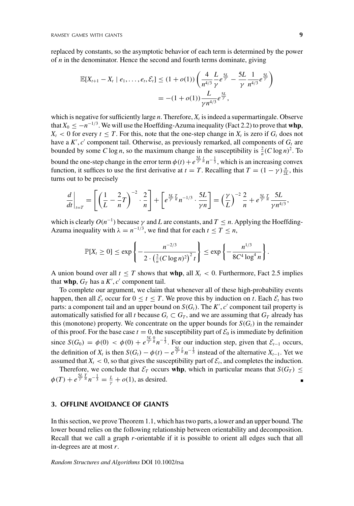replaced by constants, so the asymptotic behavior of each term is determined by the power of *n* in the denominator. Hence the second and fourth terms dominate, giving

$$
\mathbb{E}[X_{t+1} - X_t \mid e_1, \dots, e_t, \mathcal{E}_t] \le (1 + o(1)) \left( \frac{4}{n^{4/3}} \frac{L}{\gamma} e^{\frac{5L}{\gamma}} - \frac{5L}{\gamma} \frac{1}{n^{4/3}} e^{\frac{5L}{\gamma}} \right)
$$
  
=  $-(1 + o(1)) \frac{L}{\gamma n^{4/3}} e^{\frac{5L}{\gamma}}$ ,

which is negative for sufficiently large  $n$ . Therefore,  $X_t$  is indeed a supermartingale. Observe that  $X_0 \le -n^{-1/3}$ . We will use the Hoeffding-Azuma inequality (Fact 2.2) to prove that **whp**,  $X_t$  < 0 for every  $t \leq T$ . For this, note that the one-step change in  $X_t$  is zero if  $G_t$  does not have a  $K'$ ,  $c'$  component tail. Otherwise, as previously remarked, all components of  $G_t$  are bounded by some *C* log *n*, so the maximum change in the susceptibility is  $\frac{2}{n}(C \log n)^2$ . To bound the one-step change in the error term  $\phi(t)+e^{\frac{5L}{\gamma}\frac{t}{n}}n^{-\frac{1}{3}}$ , which is an increasing convex function, it suffices to use the first derivative at *t* = *T*. Recalling that  $T = (1 - \gamma) \frac{n}{2L}$ , this turns out to be precisely

$$
\frac{d}{dt}\bigg|_{t=T} = \left[\left(\frac{1}{L} - \frac{2}{n}T\right)^{-2} \cdot \frac{2}{n}\right] + \left[e^{\frac{5L}{\gamma} \frac{T}{n}} n^{-1/3} \cdot \frac{5L}{\gamma n}\right] = \left(\frac{\gamma}{L}\right)^{-2} \frac{2}{n} + e^{\frac{5L}{\gamma} \frac{T}{n}} \frac{5L}{\gamma n^{4/3}},
$$

which is clearly  $O(n^{-1})$  because  $\gamma$  and *L* are constants, and  $T \leq n$ . Applying the Hoeffding-Azuma inequality with  $\lambda = n^{-1/3}$ , we find that for each  $t \leq T \leq n$ ,

$$
\mathbb{P}[X_t \geq 0] \leq \exp\left\{-\frac{n^{-2/3}}{2\cdot\left(\frac{2}{n}(C\log n)^2\right)^2 t}\right\} \leq \exp\left\{-\frac{n^{1/3}}{8C^4\log^4 n}\right\}.
$$

A union bound over all  $t \leq T$  shows that **whp**, all  $X_t < 0$ . Furthermore, Fact 2.5 implies that **whp**,  $G_T$  has a  $K'$ ,  $c'$  component tail.

To complete our argument, we claim that whenever all of these high-probability events happen, then all  $\mathcal{E}_t$  occur for  $0 \le t \le T$ . We prove this by induction on *t*. Each  $\mathcal{E}_t$  has two parts: a component tail and an upper bound on  $S(G_t)$ . The  $K', c'$  component tail property is automatically satisfied for all *t* because  $G_t \subset G_T$ , and we are assuming that  $G_T$  already has this (monotone) property. We concentrate on the upper bounds for  $S(G_t)$  in the remainder of this proof. For the base case  $t = 0$ , the susceptibility part of  $\mathcal{E}_0$  is immediate by definition since  $S(G_0) = \phi(0) < \phi(0) + e^{\frac{5L}{\gamma} \frac{0}{n}} n^{-\frac{1}{3}}$ . For our induction step, given that  $\mathcal{E}_{t-1}$  occurs, the definition of  $X_t$  is then  $S(G_t) - \phi(t) - e^{\frac{5L}{\gamma} \frac{t}{n}} n^{-\frac{1}{3}}$  instead of the alternative  $X_{t-1}$ . Yet we assumed that  $X_t < 0$ , so that gives the susceptibility part of  $\mathcal{E}_t$ , and completes the induction.

Therefore, we conclude that  $\mathcal{E}_T$  occurs **whp**, which in particular means that  $S(G_T) \leq$  $\phi(T) + e^{\frac{5L T}{\gamma} \frac{T}{n}} n^{-\frac{1}{3}} = \frac{L}{\gamma} + o(1)$ , as desired.

## **3. OFFLINE AVOIDANCE OF GIANTS**

In this section, we prove Theorem 1.1, which has two parts, a lower and an upper bound. The lower bound relies on the following relationship between orientability and decomposition. Recall that we call a graph *r*-orientable if it is possible to orient all edges such that all in-degrees are at most *r*.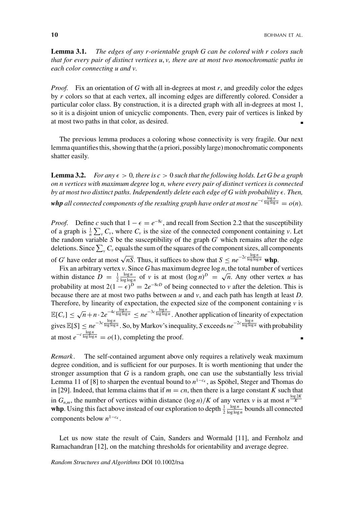**Lemma 3.1.** *The edges of any r-orientable graph G can be colored with r colors such that for every pair of distinct vertices u*, *v, there are at most two monochromatic paths in each color connecting u and v.*

*Proof.* Fix an orientation of G with all in-degrees at most r, and greedily color the edges by *r* colors so that at each vertex, all incoming edges are differently colored. Consider a particular color class. By construction, it is a directed graph with all in-degrees at most 1, so it is a disjoint union of unicyclic components. Then, every pair of vertices is linked by at most two paths in that color, as desired.

The previous lemma produces a coloring whose connectivity is very fragile. Our next lemma quantifies this, showing that the (a priori, possibly large) monochromatic components shatter easily.

**Lemma 3.2.** *For any*  $\epsilon > 0$ , there is  $c > 0$  such that the following holds. Let G be a graph *on n vertices with maximum degree* log *n, where every pair of distinct vertices is connected by at most two distinct paths. Independently delete each edge of G with probability*  $\epsilon$ *. Then,*  $\bm{v}$  *hp* all connected components of the resulting graph have order at most ne<sup>−*c*</sup>  $\frac{\log n}{\log \log n} = o(n)$ .

*Proof.* Define *c* such that  $1 - \epsilon = e^{-8c}$ , and recall from Section 2.2 that the susceptibility of a graph is  $\frac{1}{n} \sum_{v} C_v$ , where  $C_v$  is the size of the connected component containing *v*. Let the random variable  $S$  be the susceptibility of the graph  $G'$  which remains after the edge deletions. Since  $\sum_{\nu} C_{\nu}$  equals the sum of the squares of the component sizes, all components of *G'* have order at most  $\sqrt{nS}$ . Thus, it suffices to show that  $S \leq ne^{-2c \frac{\log n}{\log \log n}}$  whp.

Fix an arbitrary vertex *v*. Since *G* has maximum degree  $\log n$ , the total number of vertices  $\frac{\log n}{\log \log n}$  of *v* is at most  $(\log n)^D = \sqrt{n}$ . Any other vertex *u* has within distance  $D = \frac{1}{2}$ probability at most  $2(1 - \epsilon)^D = 2e^{-8cD}$  of being connected to *v* after the deletion. This is because there are at most two paths between *u* and *v*, and each path has length at least *D*. Therefore, by linearity of expectation, the expected size of the component containing  $\nu$  is  $\mathbb{E}[C_v] \leq \sqrt{n} + n \cdot 2e^{-4c \frac{\log n}{\log \log n}} \leq n e^{-3c \frac{\log n}{\log \log n}}$ . Another application of linearity of expectation gives  $\mathbb{E}[S] \leq ne^{-3c \frac{\log n}{\log \log n}}$ . So, by Markov's inequality, *S* exceeds  $ne^{-2c \frac{\log n}{\log \log n}}$  with probability at most  $e^{-c \frac{\log n}{\log \log n}} = o(1)$ , completing the proof. п

*Remark.* The self-contained argument above only requires a relatively weak maximum degree condition, and is sufficient for our purposes. It is worth mentioning that under the stronger assumption that  $G$  is a random graph, one can use the substantially less trivial Lemma 11 of [8] to sharpen the eventual bound to  $n^{1-c_{\epsilon}}$ , as Spöhel, Steger and Thomas do in [29]. Indeed, that lemma claims that if  $m = cn$ , then there is a large constant *K* such that in  $G_{n,m}$ , the number of vertices within distance  $(\log n)/K$  of any vertex *v* is at most  $n^{\frac{\log 2K}{K}}$ **whp**. Using this fact above instead of our exploration to depth  $\frac{1}{2}$  $\frac{\log n}{\log \log n}$  bounds all connected components below *n*<sup>1</sup>−*c* .

Let us now state the result of Cain, Sanders and Wormald [11], and Fernholz and Ramachandran [12], on the matching thresholds for orientability and average degree.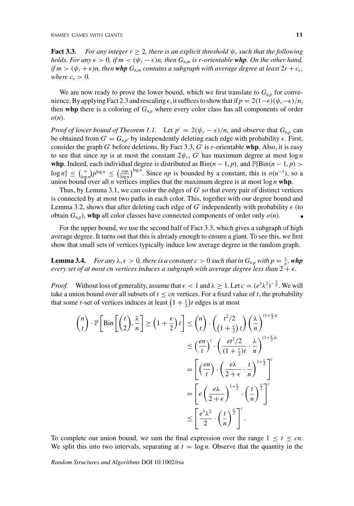**Fact 3.3.** *For any integer r*  $\geq$  2*, there is an explicit threshold*  $\psi_r$  *such that the following holds. For any*  $\epsilon > 0$ , if  $m < (\psi_r - \epsilon)n$ , then  $G_{n,m}$  is r-orientable **whp**. On the other hand, *if*  $m > (\psi_r + \epsilon)n$ , then whp  $G_{n,m}$  contains a subgraph with average degree at least  $2r + c_{\epsilon}$ , *where*  $c_{\epsilon} > 0$ .

We are now ready to prove the lower bound, which we first translate to  $G_{n,p}$  for convenience. By applying Fact 2.3 and rescaling  $\epsilon$ , it suffices to show that if  $p = 2(1-\epsilon)(\psi_r - \epsilon)/n$ , then whp there is a coloring of  $G_{n,p}$  where every color class has all components of order *o*(*n*).

*Proof of lower bound of Theorem 1.1.* Let  $p' = 2(\psi_r - \epsilon)/n$ , and observe that  $G_{n,p}$  can be obtained from  $G' = G_{n,p'}$  by independently deleting each edge with probability  $\epsilon$ . First, consider the graph *G* before deletions. By Fact 3.3, *G* is *r*-orientable **whp**. Also, it is easy to see that since *np* is at most the constant  $2\psi_r$ , G' has maximum degree at most  $\log n$ **whp**. Indeed, each individual degree is distributed as  $Bin(n-1, p)$ , and  $\mathbb{P}[\text{Bin}(n-1, p)$  $\log n$ ]  $\leq {n \choose \log n} p^{\log n} \leq \left(\frac{e n p}{\log n}\right)^{\log n}$ . Since *np* is bounded by a constant, this is  $o(n^{-1})$ , so a union bound over all *n* vertices implies that the maximum degree is at most log *n* **whp**.

Thus, by Lemma 3.1, we can color the edges of  $G'$  so that every pair of distinct vertices is connected by at most two paths in each color. This, together with our degree bound and Lemma 3.2, shows that after deleting each edge of *G'* independently with probability  $\epsilon$  (to obtain  $G_{n,p}$ ), whp all color classes have connected components of order only  $o(n)$ .

For the upper bound, we use the second half of Fact 3.3, which gives a subgraph of high average degree. It turns out that this is already enough to ensure a giant. To see this, we first show that small sets of vertices typically induce low average degree in the random graph.

**Lemma 3.4.** *For any*  $\lambda, \epsilon > 0$ , there is a constant  $c > 0$  such that in  $G_{n,p}$  with  $p = \frac{\lambda}{n}$ , whp *every set of at most cn vertices induces a subgraph with average degree less than*  $2 + \epsilon$ .

*Proof.* Without loss of generality, assume that  $\epsilon < 1$  and  $\lambda \geq 1$ . Let  $c = (e^3 \lambda^2)^{-\frac{2}{\epsilon}}$ . We will take a union bound over all subsets of  $t \leq cn$  vertices. For a fixed value of *t*, the probability that some *t*-set of vertices induces at least  $\left(1 + \frac{\epsilon}{2}\right)t$  edges is at most

$$
\binom{n}{t} \cdot \mathbb{P} \left[ \text{Bin}\left[ \binom{t}{2}, \frac{\lambda}{n} \right] \ge \left( 1 + \frac{\epsilon}{2} \right) t \right] \le \binom{n}{t} \cdot \left( \frac{t^2/2}{\left( 1 + \frac{\epsilon}{2} \right) t} \right) \left( \frac{\lambda}{n} \right)^{(1 + \frac{\epsilon}{2})t}
$$
\n
$$
\le \left( \frac{en}{t} \right)^t \cdot \left( \frac{et^2/2}{\left( 1 + \frac{\epsilon}{2} \right) t} \cdot \frac{\lambda}{n} \right)^{(1 + \frac{\epsilon}{2})t}
$$
\n
$$
= \left[ \left( \frac{en}{t} \right) \cdot \left( \frac{e\lambda}{2 + \epsilon} \cdot \frac{t}{n} \right)^{1 + \frac{\epsilon}{2}} \right]^t
$$
\n
$$
= \left[ e \left( \frac{e\lambda}{2 + \epsilon} \right)^{1 + \frac{\epsilon}{2}} \cdot \left( \frac{t}{n} \right)^{\frac{\epsilon}{2}} \right]^t
$$
\n
$$
\le \left[ \frac{e^3 \lambda^2}{2} \cdot \left( \frac{t}{n} \right)^{\frac{\epsilon}{2}} \right]^t.
$$

To complete our union bound, we sum the final expression over the range  $1 \le t \le cn$ . We split this into two intervals, separating at  $t = \log n$ . Observe that the quantity in the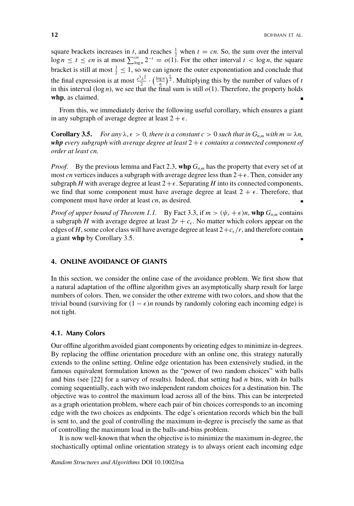square brackets increases in *t*, and reaches  $\frac{1}{2}$  when  $t = cn$ . So, the sum over the interval  $\log n \le t \le cn$  is at most  $\sum_{\log n}^{cn} 2^{-t} = o(1)$ . For the other interval  $t < \log n$ , the square bracket is still at most  $\frac{1}{2} \leq 1$ , so we can ignore the outer exponentiation and conclude that the final expression is at most  $\frac{e^3\lambda^2}{2}\cdot\left(\frac{\log n}{n}\right)^{\frac{6}{2}}$ . Multiplying this by the number of values of *t* in this interval  $(\log n)$ , we see that the final sum is still  $o(1)$ . Therefore, the property holds **whp**, as claimed.

From this, we immediately derive the following useful corollary, which ensures a giant in any subgraph of average degree at least  $2 + \epsilon$ .

**Corollary 3.5.** *For any*  $\lambda, \epsilon > 0$ *, there is a constant c* > 0 *such that in*  $G_{n,m}$  *with*  $m = \lambda n$ *, whp* every subgraph with average degree at least  $2 + \epsilon$  contains a connected component of *order at least cn.*

*Proof.* By the previous lemma and Fact 2.3, whp  $G_{n,m}$  has the property that every set of at most *cn* vertices induces a subgraph with average degree less than  $2 + \epsilon$ . Then, consider any subgraph *H* with average degree at least  $2 + \epsilon$ . Separating *H* into its connected components, we find that some component must have average degree at least  $2 + \epsilon$ . Therefore, that component must have order at least *cn*, as desired.

*Proof of upper bound of Theorem 1.1.* By Fact 3.3, if  $m > (\psi_r + \epsilon)n$ , whp  $G_{n,m}$  contains a subgraph *H* with average degree at least  $2r + c_{\epsilon}$ . No matter which colors appear on the edges of *H*, some color class will have average degree at least  $2+c_{\epsilon}/r$ , and therefore contain a giant **whp** by Corollary 3.5.

# **4. ONLINE AVOIDANCE OF GIANTS**

In this section, we consider the online case of the avoidance problem. We first show that a natural adaptation of the offline algorithm gives an asymptotically sharp result for large numbers of colors. Then, we consider the other extreme with two colors, and show that the trivial bound (surviving for  $(1 - \epsilon)n$  rounds by randomly coloring each incoming edge) is not tight.

#### **4.1. Many Colors**

Our offline algorithm avoided giant components by orienting edges to minimize in-degrees. By replacing the offline orientation procedure with an online one, this strategy naturally extends to the online setting. Online edge orientation has been extensively studied, in the famous equivalent formulation known as the "power of two random choices" with balls and bins (see [22] for a survey of results). Indeed, that setting had *n* bins, with *kn* balls coming sequentially, each with two independent random choices for a destination bin. The objective was to control the maximum load across all of the bins. This can be interpreted as a graph orientation problem, where each pair of bin choices corresponds to an incoming edge with the two choices as endpoints. The edge's orientation records which bin the ball is sent to, and the goal of controlling the maximum in-degree is precisely the same as that of controlling the maximum load in the balls-and-bins problem.

It is now well-known that when the objective is to minimize the maximum in-degree, the stochastically optimal online orientation strategy is to always orient each incoming edge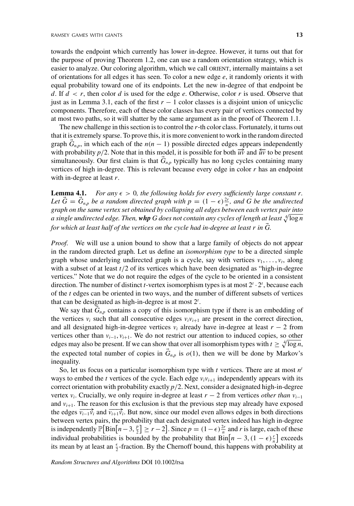towards the endpoint which currently has lower in-degree. However, it turns out that for the purpose of proving Theorem 1.2, one can use a random orientation strategy, which is easier to analyze. Our coloring algorithm, which we call ORIENT, internally maintains a set of orientations for all edges it has seen. To color a new edge *e*, it randomly orients it with equal probability toward one of its endpoints. Let the new in-degree of that endpoint be *d*. If *d* < *r*, then color *d* is used for the edge *e*. Otherwise, color *r* is used. Observe that just as in Lemma 3.1, each of the first  $r - 1$  color classes is a disjoint union of unicyclic components. Therefore, each of these color classes has every pair of vertices connected by at most two paths, so it will shatter by the same argument as in the proof of Theorem 1.1.

The new challenge in this section is to control the *r*-th color class. Fortunately, it turns out that it is extremely sparse. To prove this, it is more convenient to work in the random directed graph  $G_{n,p}$ , in which each of the  $n(n-1)$  possible directed edges appears independently with probability *p*/2. Note that in this model, it is possible for both  $\vec{w}$  and  $\vec{w}$  to be present simultaneously. Our first claim is that  $G_{n,p}$  typically has no long cycles containing many vertices of high in-degree. This is relevant because every edge in color *r* has an endpoint with in-degree at least *r*.

**Lemma 4.1.** *For any*  $\epsilon > 0$ *, the following holds for every sufficiently large constant r.* Let  $\vec{G} = \vec{G}_{n,p}$  be a random directed graph with  $p = (1 - \epsilon) \frac{2r}{n}$ , and G be the undirected *graph on the same vertex set obtained by collapsing all edges between each vertex pair into* a single undirected edge. Then,  $w h p$  G does not contain any cycles of length at least  $\sqrt[4]{\log n}$ *for which at least half of the vertices on the cycle had in-degree at least r in G.*

*Proof.* We will use a union bound to show that a large family of objects do not appear in the random directed graph. Let us define an *isomorphism type* to be a directed simple graph whose underlying undirected graph is a cycle, say with vertices  $v_1, \ldots, v_t$ , along with a subset of at least *t*/2 of its vertices which have been designated as "high-in-degree vertices." Note that we do not require the edges of the cycle to be oriented in a consistent direction. The number of distinct *t*-vertex isomorphism types is at most 2*<sup>t</sup>* · 2*<sup>t</sup>* , because each of the *t* edges can be oriented in two ways, and the number of different subsets of vertices that can be designated as high-in-degree is at most 2*<sup>t</sup>* .

We say that  $G_{n,p}$  contains a copy of this isomorphism type if there is an embedding of the vertices  $v_i$  such that all consecutive edges  $v_i v_{i+1}$  are present in the correct direction, and all designated high-in-degree vertices  $v_i$  already have in-degree at least  $r - 2$  from vertices other than *vi*−1, *vi*+1. We do not restrict our attention to induced copies, so other edges may also be present. If we can show that over all isomorphism types with  $t \geq \sqrt[4]{\log n}$ , the expected total number of copies in  $\vec{G}_{n,p}$  is  $o(1)$ , then we will be done by Markov's inequality.

So, let us focus on a particular isomorphism type with *t* vertices. There are at most *nt* ways to embed the *t* vertices of the cycle. Each edge  $v_i v_{i+1}$  independently appears with its correct orientation with probability exactly *p*/2. Next, consider a designated high-in-degree vertex *vi*. Crucially, we only require in-degree at least *r* − 2 from vertices *other than vi*−<sup>1</sup> and  $v_{i+1}$ . The reason for this exclusion is that the previous step may already have exposed the edges  $\overline{v_{i-1}v_i}$  and  $\overline{v_{i+1}v_i}$ . But now, since our model even allows edges in both directions between vertex pairs, the probability that each designated vertex indeed has high in-degree is independently  $\mathbb{P}[\text{Bin}[n-3, \frac{p}{2}] \ge r-2]$ . Since  $p = (1-\epsilon)\frac{2r}{n}$  and *r* is large, each of these individual probabilities is bounded by the probability that  $\text{Bin}[n-3, (1-\epsilon)\frac{r}{n}]$  exceeds its mean by at least an  $\frac{\epsilon}{2}$ -fraction. By the Chernoff bound, this happens with probability at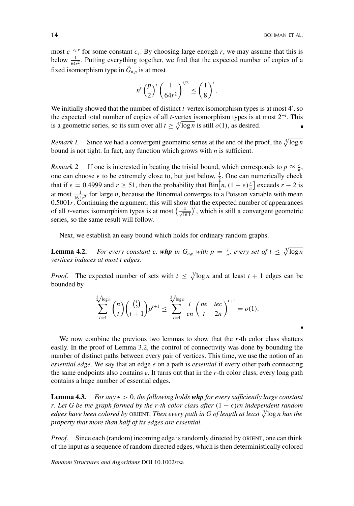most  $e^{-c_{\epsilon}r}$  for some constant  $c_{\epsilon}$ . By choosing large enough *r*, we may assume that this is below  $\frac{1}{64r^2}$ . Putting everything together, we find that the expected number of copies of a fixed isomorphism type in  $G_{n,p}$  is at most

$$
n'\left(\frac{p}{2}\right)^t\left(\frac{1}{64r^2}\right)^{t/2} \le \left(\frac{1}{8}\right)^t.
$$

We initially showed that the number of distinct *t*-vertex isomorphism types is at most 4<sup>*t*</sup>, so the expected total number of copies of all *t*-vertex isomorphism types is at most 2−*<sup>t</sup>* . This is a geometric series, so its sum over all  $t \ge \sqrt[4]{\log n}$  is still  $o(1)$ , as desired.

*Remark 1.* Since we had a convergent geometric series at the end of the proof, the  $\sqrt[4]{\log n}$ bound is not tight. In fact, any function which grows with *n* is sufficient.

*Remark* 2 If one is interested in beating the trivial bound, which corresponds to  $p \approx \frac{r}{n}$ , one can choose  $\epsilon$  to be extremely close to, but just below,  $\frac{1}{2}$ . One can numerically check that if  $\epsilon = 0.4999$  and  $r \ge 51$ , then the probability that  $\text{Bin}[n, (1 - \epsilon)\frac{r}{n}]$  exceeds  $r - 2$  is at most  $\frac{1}{16.1r^2}$  for large *n*, because the Binomial converges to a Poisson variable with mean 0.5001*r*. Continuing the argument, this will show that the expected number of appearances of all *t*-vertex isomorphism types is at most  $\left(\frac{4}{\sqrt{16.1}}\right)^t$ , which is still a convergent geometric series, so the same result will follow.

Next, we establish an easy bound which holds for ordinary random graphs.

**Lemma 4.2.** *For every constant c, whp in*  $G_{n,p}$  *with*  $p = \frac{c}{n}$ *, every set of*  $t \leq \sqrt[3]{\log n}$ *vertices induces at most t edges.*

*Proof.* The expected number of sets with  $t \leq \sqrt[3]{\log n}$  and at least  $t + 1$  edges can be bounded by

$$
\sum_{t=4}^{3/\log n} \binom{n}{t} \binom{\binom{t}{2}}{t+1} p^{t+1} \le \sum_{t=4}^{3/\log n} \frac{t}{en} \left(\frac{ne}{t} \cdot \frac{tec}{2n}\right)^{t+1} = o(1).
$$

We now combine the previous two lemmas to show that the *r*-th color class shatters easily. In the proof of Lemma 3.2, the control of connectivity was done by bounding the number of distinct paths between every pair of vertices. This time, we use the notion of an *essential edge*. We say that an edge *e* on a path is *essential* if every other path connecting the same endpoints also contains *e*. It turns out that in the *r*-th color class, every long path contains a huge number of essential edges.

**Lemma 4.3.** For any  $\epsilon > 0$ , the following holds whp for every sufficiently large constant *r. Let G be the graph formed by the r-th color class after*  $(1 - \epsilon)r$  *independent random* edges have been colored by ORIENT. Then every path in G of length at least  $\sqrt[3]{\log n}$  has the *property that more than half of its edges are essential.*

*Proof.* Since each (random) incoming edge is randomly directed by ORIENT, one can think of the input as a sequence of random directed edges, which is then deterministically colored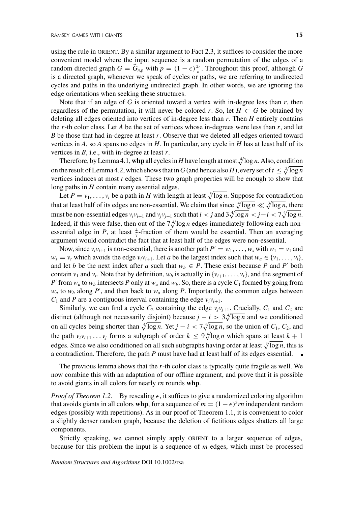using the rule in ORIENT. By a similar argument to Fact 2.3, it suffices to consider the more convenient model where the input sequence is a random permutation of the edges of a random directed graph  $G = \vec{G}_{n,p}$  with  $p = (1 - \epsilon) \frac{2r}{n}$ . Throughout this proof, although *G* is a directed graph, whenever we speak of cycles or paths, we are referring to undirected cycles and paths in the underlying undirected graph. In other words, we are ignoring the edge orientations when seeking these structures.

Note that if an edge of *G* is oriented toward a vertex with in-degree less than *r*, then regardless of the permutation, it will never be colored *r*. So, let  $H \subset G$  be obtained by deleting all edges oriented into vertices of in-degree less than *r*. Then *H* entirely contains the  $r$ -th color class. Let  $A$  be the set of vertices whose in-degrees were less than  $r$ , and let *B* be those that had in-degree at least *r*. Observe that we deleted all edges oriented toward vertices in *A*, so *A* spans no edges in *H*. In particular, any cycle in *H* has at least half of its vertices in *B*, i.e., with in-degree at least *r*.

Therefore, by Lemma 4.1, whp all cycles in *H* have length at most  $\sqrt[4]{\log n}$ . Also, condition on the result of Lemma 4.2, which shows that in G (and hence also H), every set of  $t \leq \sqrt[3]{\log n}$ vertices induces at most *t* edges. These two graph properties will be enough to show that long paths in *H* contain many essential edges.

Let  $P = v_1, \ldots, v_t$  be a path in *H* with length at least  $\sqrt[3]{\log n}$ . Suppose for contradiction that at least half of its edges are non-essential. We claim that since  $\sqrt[4]{\log n} \ll \sqrt[3]{\log n}$ , there must be non-essential edges  $v_i v_{i+1}$  and  $v_j v_{j+1}$  such that  $i < j$  and  $3\sqrt[4]{\log n} < j - i < 7\sqrt[4]{\log n}$ . Indeed, if this were false, then out of the  $7\sqrt[4]{\log n}$  edges immediately following each nonessential edge in *P*, at least  $\frac{4}{7}$ -fraction of them would be essential. Then an averaging argument would contradict the fact that at least half of the edges were non-essential.

Now, since  $v_i v_{i+1}$  is non-essential, there is another path  $P' = w_1, \ldots, w_s$  with  $w_1 = v_1$  and  $w_s = v_t$  which avoids the edge  $v_i v_{i+1}$ . Let *a* be the largest index such that  $w_a \in \{v_1, \ldots, v_i\}$ , and let *b* be the next index after *a* such that  $w_b \in P$ . These exist because *P* and *P'* both contain  $v_1$  and  $v_t$ . Note that by definition,  $w_b$  is actually in  $\{v_{i+1}, \ldots, v_t\}$ , and the segment of *P*' from  $w_a$  to  $w_b$  intersects *P* only at  $w_a$  and  $w_b$ . So, there is a cycle  $C_1$  formed by going from  $w_a$  to  $w_b$  along  $P'$ , and then back to  $w_a$  along  $P$ . Importantly, the common edges between  $C_1$  and *P* are a contiguous interval containing the edge  $v_i v_{i+1}$ .

Similarly, we can find a cycle  $C_2$  containing the edge  $v_jv_{j+1}$ . Crucially,  $C_1$  and  $C_2$  are distinct (although not necessarily disjoint) because  $j - i > 3\sqrt[4]{\log n}$  and we conditioned on all cycles being shorter than  $\sqrt[4]{\log n}$ . Yet  $j - i < 7\sqrt[4]{\log n}$ , so the union of  $C_1$ ,  $C_2$ , and the path  $v_i v_{i+1} \ldots v_j$  forms a subgraph of order  $k \leq 9\sqrt[4]{\log n}$  which spans at <u>least</u>  $k+1$ edges. Since we also conditioned on all such subgraphs having order at least  $\sqrt[3]{\log n}$ , this is a contradiction. Therefore, the path *P* must have had at least half of its edges essential.

The previous lemma shows that the *r*-th color class is typically quite fragile as well. We now combine this with an adaptation of our offline argument, and prove that it is possible to avoid giants in all colors for nearly *rn* rounds **whp**.

*Proof of Theorem 1.2.* By rescaling  $\epsilon$ , it suffices to give a randomized coloring algorithm that avoids giants in all colors **whp**, for a sequence of  $m = (1 - \epsilon)^3 m$  independent random edges (possibly with repetitions). As in our proof of Theorem 1.1, it is convenient to color a slightly denser random graph, because the deletion of fictitious edges shatters all large components.

Strictly speaking, we cannot simply apply ORIENT to a larger sequence of edges, because for this problem the input is a sequence of *m* edges, which must be processed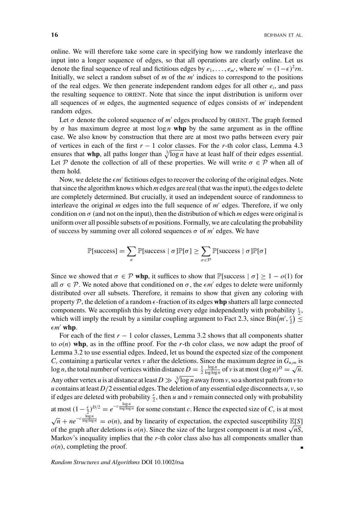online. We will therefore take some care in specifying how we randomly interleave the input into a longer sequence of edges, so that all operations are clearly online. Let us denote the final sequence of real and fictitious edges by  $e_1, \ldots, e_{m'}$ , where  $m' = (1-\epsilon)^2 m$ . Initially, we select a random subset of *m* of the *m* indices to correspond to the positions of the real edges. We then generate independent random edges for all other  $e_i$ , and pass the resulting sequence to orient. Note that since the input distribution is uniform over all sequences of *m* edges, the augmented sequence of edges consists of *m* independent random edges.

Let  $\sigma$  denote the colored sequence of  $m'$  edges produced by ORIENT. The graph formed by  $\sigma$  has maximum degree at most  $\log n$  whp by the same argument as in the offline case. We also know by construction that there are at most two paths between every pair of vertices in each of the first *r* − 1 color classes. For the *r*-th color class, Lemma 4.3 ensures that whp, all paths longer than  $\sqrt[3]{\log n}$  have at least half of their edges essential. Let P denote the collection of all of these properties. We will write  $\sigma \in \mathcal{P}$  when all of them hold.

Now, we delete the  $\epsilon m'$  fictitious edges to recover the coloring of the original edges. Note that since the algorithm knows which *m* edges are real (that was the input), the edges to delete are completely determined. But crucially, it used an independent source of randomness to interleave the original *m* edges into the full sequence of *m'* edges. Therefore, if we only condition on  $\sigma$  (and not on the input), then the distribution of which *m* edges were original is uniform over all possible subsets of *m* positions. Formally, we are calculating the probability of success by summing over all colored sequences  $\sigma$  of  $m'$  edges. We have

$$
\mathbb{P}[\text{success}] = \sum_{\sigma} \mathbb{P}[\text{success} | \sigma] \mathbb{P}[\sigma] \ge \sum_{\sigma \in \mathcal{P}} \mathbb{P}[\text{success} | \sigma] \mathbb{P}[\sigma]
$$

Since we showed that  $\sigma \in \mathcal{P}$  whp, it suffices to show that P[success  $|\sigma| > 1 - o(1)$  for all  $\sigma \in \mathcal{P}$ . We noted above that conditioned on  $\sigma$ , the  $\epsilon m'$  edges to delete were uniformly distributed over all subsets. Therefore, it remains to show that given any coloring with property  $P$ , the deletion of a random  $\epsilon$ -fraction of its edges whp shatters all large connected components. We accomplish this by deleting every edge independently with probability  $\frac{\epsilon}{2}$ , which will imply the result by a similar coupling argument to Fact 2.3, since  $\text{Bin}(m', \frac{\epsilon}{2}) \leq$  $\epsilon m'$  whp.

For each of the first  $r - 1$  color classes, Lemma 3.2 shows that all components shatter to  $o(n)$  whp, as in the offline proof. For the *r*-th color class, we now adapt the proof of Lemma 3.2 to use essential edges. Indeed, let us bound the expected size of the component  $C_v$  containing a particular vertex *v* after the deletions. Since the maximum degree in  $G_{n,m}$  is log *n*, the total number of vertices within distance  $D = \frac{1}{2}$  $\frac{\log n}{\log \log n}$  of *v* is at most  $(\log n)^D = \sqrt{n}$ . Any other vertex *u* is at distance at least  $D \gg \sqrt[3]{\log n}$  away from *v*, so a shortest path from *v* to *u* contains at least  $D/2$  essential edges. The deletion of any essential edge disconnects  $u$ ,  $v$ , so if edges are deleted with probability  $\frac{\epsilon}{2}$ , then *u* and *v* remain connected only with probability at most  $(1 - \frac{\epsilon}{2})^{D/2} = e^{-c \frac{\log n}{\log \log n}}$  for some constant *c*. Hence the expected size of  $C_v$  is at most  $\sqrt{n} + ne^{-c \frac{\log n}{\log \log n}} = o(n)$ , and by linearity of expectation, the expected susceptibility E[*S*] of the graph after deletions is  $o(n)$ . Since the size of the largest component is at most  $\sqrt{n}S$ , Markov's inequality implies that the *r*-th color class also has all components smaller than  $o(n)$ , completing the proof.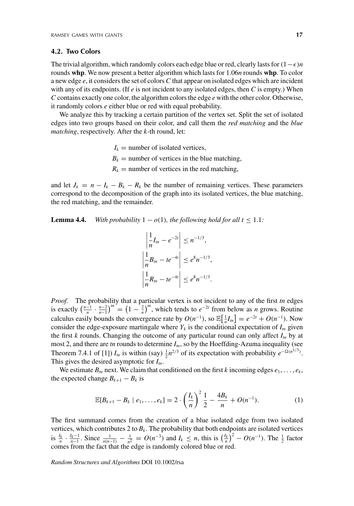# **4.2. Two Colors**

The trivial algorithm, which randomly colors each edge blue or red, clearly lasts for(1−)*n* rounds **whp**. We now present a better algorithm which lasts for 1.06*n* rounds **whp**. To color a new edge *e*, it considers the set of colors *C* that appear on isolated edges which are incident with any of its endpoints. (If *e* is not incident to any isolated edges, then *C* is empty.) When *C* contains exactly one color, the algorithm colors the edge *e* with the other color. Otherwise, it randomly colors *e* either blue or red with equal probability.

We analyze this by tracking a certain partition of the vertex set. Split the set of isolated edges into two groups based on their color, and call them the *red matching* and the *blue matching*, respectively. After the *k*-th round, let:

> $I_k$  = number of isolated vertices,  $B_k$  = number of vertices in the blue matching,  $R_k$  = number of vertices in the red matching,

and let  $J_k = n - I_k - B_k - R_k$  be the number of remaining vertices. These parameters correspond to the decomposition of the graph into its isolated vertices, the blue matching, the red matching, and the remainder.

**Lemma 4.4.** *With probability*  $1 - o(1)$ *, the following hold for all*  $t \leq 1.1$ *:* 

$$
\left|\frac{1}{n}I_m - e^{-2t}\right| \le n^{-1/3},
$$
  

$$
\left|\frac{1}{n}B_m - te^{-4t}\right| \le e^8 n^{-1/3},
$$
  

$$
\left|\frac{1}{n}R_m - te^{-4t}\right| \le e^8 n^{-1/3}.
$$

*Proof.* The probability that a particular vertex is not incident to any of the first *tn* edges is exactly  $\left(\frac{n-1}{n} \cdot \frac{n-2}{n-1}\right)^m = \left(1 - \frac{2}{n}\right)^m$ , which tends to  $e^{-2t}$  from below as *n* grows. Routine calculus easily bounds the convergence rate by  $O(n^{-1})$ , so  $\mathbb{E}[\frac{1}{n}I_m] = e^{-2t} + O(n^{-1})$ . Now consider the edge-exposure martingale where  $Y_k$  is the conditional expectation of  $I_{tn}$  given the first *k* rounds. Changing the outcome of any particular round can only affect  $I<sub>m</sub>$  by at most 2, and there are  $tn$  rounds to determine  $I_{tn}$ , so by the Hoeffding-Azuma inequality (see Theorem 7.4.1 of [1])  $I_m$  is within (say)  $\frac{1}{2}n^{2/3}$  of its expectation with probability  $e^{-\Omega(n^{1/3})}$ . This gives the desired asymptotic for  $I_m$ .

We estimate  $B_{tn}$  next. We claim that conditioned on the first *k* incoming edges  $e_1, \ldots, e_k$ , the expected change  $B_{k+1} - B_k$  is

$$
\mathbb{E}[B_{k+1} - B_k \mid e_1, \dots, e_k] = 2 \cdot \left(\frac{I_k}{n}\right)^2 \frac{1}{2} - \frac{4B_k}{n} + O(n^{-1}). \tag{1}
$$

The first summand comes from the creation of a blue isolated edge from two isolated vertices, which contributes 2 to  $B_k$ . The probability that both endpoints are isolated vertices is  $\frac{l_k}{n} \cdot \frac{l_{k-1}}{n-1}$ . Since  $\frac{1}{n(n-1)} - \frac{1}{n^2} = O(n^{-3})$  and  $I_k \le n$ , this is  $\left(\frac{l_k}{n}\right)^2 - O(n^{-1})$ . The  $\frac{1}{2}$  factor comes from the fact that the edge is randomly colored blue or red.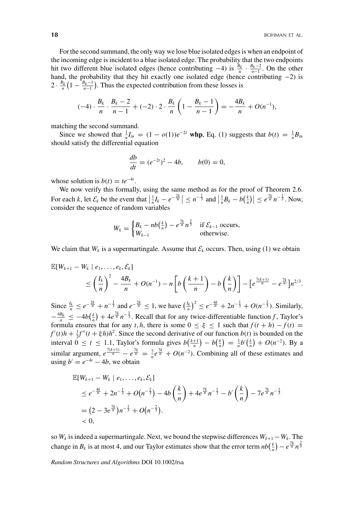For the second summand, the only way we lose blue isolated edges is when an endpoint of the incoming edge is incident to a blue isolated edge. The probability that the two endpoints hit two different blue isolated edges (hence contributing  $-4$ ) is  $\frac{B_k}{n} \cdot \frac{B_k-2}{n-1}$ . On the other hand, the probability that they hit exactly one isolated edge (hence contributing  $-2$ ) is  $2 \cdot \frac{B_k}{n} \left(1 - \frac{B_k - 1}{n-1}\right)$ . Thus the expected contribution from these losses is

$$
(-4) \cdot \frac{B_k}{n} \cdot \frac{B_k - 2}{n-1} + (-2) \cdot 2 \cdot \frac{B_k}{n} \left( 1 - \frac{B_k - 1}{n-1} \right) = -\frac{4B_k}{n} + O(n^{-1}),
$$

matching the second summand.

Since we showed that  $\frac{1}{n}I_m = (1 - o(1))e^{-2t}$  whp, Eq. (1) suggests that  $b(t) = \frac{1}{n}B_m$ should satisfy the differential equation

$$
\frac{db}{dt} = (e^{-2t})^2 - 4b, \qquad b(0) = 0,
$$

whose solution is  $b(t) = te^{-4t}$ .

We now verify this formally, using the same method as for the proof of Theorem 2.6. For each k, let  $\mathcal{E}_k$  be the event that  $\left|\frac{1}{n}I_k - e^{-\frac{2k}{n}}\right| \leq n^{-\frac{1}{3}}$  and  $\left|\frac{1}{n}B_k - b\left(\frac{k}{n}\right)\right| \leq e^{\frac{7k}{n}}n^{-\frac{1}{3}}$ . Now, consider the sequence of random variables

$$
W_k = \begin{cases} B_k - nb\left(\frac{k}{n}\right) - e^{\frac{7k}{n}} n^{\frac{2}{3}} & \text{if } \mathcal{E}_{k-1} \text{ occurs,} \\ W_{k-1} & \text{otherwise.} \end{cases}
$$

We claim that  $W_k$  is a supermartingale. Assume that  $\mathcal{E}_k$  occurs. Then, using (1) we obtain

$$
\mathbb{E}[W_{k+1} - W_k \mid e_1, \ldots, e_k, \mathcal{E}_k] \le \left(\frac{I_k}{n}\right)^2 - \frac{4B_k}{n} + O(n^{-1}) - n \left[b\left(\frac{k+1}{n}\right) - b\left(\frac{k}{n}\right)\right] - \left[e^{\frac{7(k+1)}{n}} - e^{\frac{7k}{n}}\right]n^{2/3}.
$$

Since  $\frac{l_k}{n} \le e^{-\frac{2k}{n}} + n^{-\frac{1}{3}}$  and  $e^{-\frac{2k}{n}} \le 1$ , we have  $\left(\frac{l_k}{n}\right)^2 \le e^{-\frac{4k}{n}} + 2n^{-\frac{1}{3}} + O(n^{-\frac{2}{3}})$ . Similarly,  $-\frac{4B_k}{n} \leq -4b(\frac{k}{n}) + 4e^{\frac{7k}{n}}n^{-\frac{1}{3}}$ . Recall that for any twice-differentiable function *f*, Taylor's formula ensures that for any *t*, *h*, there is some  $0 \le \xi \le 1$  such that  $f(t + h) - f(t) =$  $f'(t)h + \frac{1}{2}f''(t + \xi h)h^2$ . Since the second derivative of our function  $b(t)$  is bounded on the interval  $0 \le t \le 1.1$ , Taylor's formula gives  $b\left(\frac{k+1}{n}\right) - b\left(\frac{k}{n}\right) = \frac{1}{n}b'\left(\frac{k}{n}\right) + O(n^{-2})$ . By a similar argument,  $e^{\frac{7(k+1)}{n}} - e^{\frac{7k}{n}} = \frac{7}{n}e^{\frac{7k}{n}} + O(n^{-2})$ . Combining all of these estimates and using  $b' = e^{-4t} - 4b$ , we obtain

$$
\mathbb{E}[W_{k+1} - W_k \mid e_1, \dots, e_k, \mathcal{E}_k]
$$
\n
$$
\leq e^{-\frac{4k}{n}} + 2n^{-\frac{1}{3}} + O(n^{-\frac{2}{3}}) - 4b\left(\frac{k}{n}\right) + 4e^{\frac{7k}{n}}n^{-\frac{1}{3}} - b'\left(\frac{k}{n}\right) - 7e^{\frac{7k}{n}}n^{-\frac{1}{3}}
$$
\n
$$
= (2 - 3e^{\frac{7k}{n}})n^{-\frac{1}{3}} + O(n^{-\frac{2}{3}}).
$$
\n
$$
< 0,
$$

so *Wk* is indeed a supermartingale. Next, we bound the stepwise differences *Wk*+<sup>1</sup>−*Wk* . The change in  $B_k$  is at most 4, and our Taylor estimates show that the error term  $nb(\frac{k}{n}) - e^{\frac{7k}{n}} n^{\frac{2}{3}}$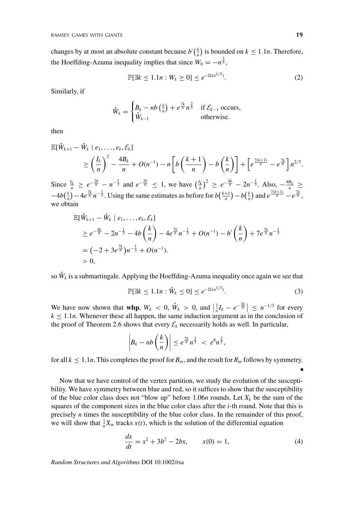changes by at most an absolute constant because  $b'(\frac{k}{n})$  is bounded on  $k \leq 1.1n$ . Therefore, the Hoeffding-Azuma inequality implies that since  $W_0 = -n^{\frac{2}{3}}$ ,

$$
\mathbb{P}[\exists k \le 1.1n : W_k \ge 0] \le e^{-\Omega(n^{1/3})}.
$$
 (2)

Similarly, if

$$
\hat{W}_k = \begin{cases} B_k - nb\left(\frac{k}{n}\right) + e^{\frac{7k}{n}} n^{\frac{2}{3}} & \text{if } \mathcal{E}_{k-1} \text{ occurs,} \\ \hat{W}_{k-1} & \text{otherwise.} \end{cases}
$$

then

$$
\mathbb{E}[\hat{W}_{k+1} - \hat{W}_k \mid e_1, \ldots, e_k, \mathcal{E}_k]
$$
\n
$$
\geq \left(\frac{I_k}{n}\right)^2 - \frac{4B_k}{n} + O(n^{-1}) - n \left[ b\left(\frac{k+1}{n}\right) - b\left(\frac{k}{n}\right) \right] + \left[ e^{\frac{7(k+1)}{n}} - e^{\frac{7k}{n}} \right] n^{2/3}.
$$

Since  $\frac{I_k}{n} \geq e^{-\frac{2k}{n}} - n^{-\frac{1}{3}}$  and  $e^{-\frac{2k}{n}} \leq 1$ , we have  $\left(\frac{I_k}{n}\right)^2 \geq e^{-\frac{4k}{n}} - 2n^{-\frac{1}{3}}$ . Also,  $-\frac{4B_k}{n} \geq$  $-4b(\frac{k}{n})-4e^{\frac{7k}{n}}n^{-\frac{1}{3}}$ . Using the same estimates as before for  $b(\frac{k+1}{n})-b(\frac{k}{n})$  and  $e^{\frac{7(k+1)}{n}}-e^{\frac{7k}{n}}$ , we obtain

$$
\mathbb{E}[\hat{W}_{k+1} - \hat{W}_k \mid e_1, \dots, e_k, \mathcal{E}_k]
$$
\n
$$
\geq e^{-\frac{4k}{n}} - 2n^{-\frac{1}{3}} - 4b\left(\frac{k}{n}\right) - 4e^{\frac{7k}{n}}n^{-\frac{1}{3}} + O(n^{-1}) - b'\left(\frac{k}{n}\right) + 7e^{\frac{7k}{n}}n^{-\frac{1}{3}}
$$
\n
$$
= (-2 + 3e^{\frac{7k}{n}})n^{-\frac{1}{3}} + O(n^{-1}).
$$
\n
$$
> 0,
$$

so  $\hat{W}_k$  is a submartingale. Applying the Hoeffding-Azuma inequality once again we see that

$$
\mathbb{P}[\exists k \le 1.1n : \hat{W}_k \le 0] \le e^{-\Omega(n^{1/3})}.
$$
 (3)

We have now shown that **whp**,  $W_k < 0$ ,  $\hat{W}_k > 0$ , and  $\left| \frac{1}{n} I_k - e^{-\frac{2k}{n}} \right| \leq n^{-1/3}$  for every  $k \leq 1.1n$ . Whenever these all happen, the same induction argument as in the conclusion of the proof of Theorem 2.6 shows that every  $\mathcal{E}_k$  necessarily holds as well. In particular,

$$
\left|B_k - nb\left(\frac{k}{n}\right)\right| \leq e^{\frac{7k}{n}n^{\frac{2}{3}}} < e^8n^{\frac{2}{3}},
$$

for all  $k \leq 1.1n$ . This completes the proof for  $B_{in}$ , and the result for  $R_{in}$  follows by symmetry.

Now that we have control of the vertex partition, we study the evolution of the susceptibility. We have symmetry between blue and red, so it suffices to show that the susceptibility of the blue color class does not "blow up" before 1.06*n* rounds. Let  $X_k$  be the sum of the squares of the component sizes in the blue color class after the *i*-th round. Note that this is precisely *n* times the susceptibility of the blue color class. In the remainder of this proof, we will show that  $\frac{1}{n}X_{tn}$  tracks  $x(t)$ , which is the solution of the differential equation

$$
\frac{dx}{dt} = x^2 + 3b^2 - 2bx, \qquad x(0) = 1,\tag{4}
$$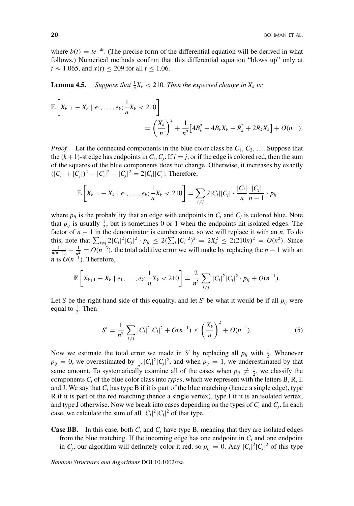where  $b(t) = te^{-4t}$ . (The precise form of the differential equation will be derived in what follows.) Numerical methods confirm that this differential equation "blows up" only at *t* ≈ 1.065, and *x*(*t*) ≤ 209 for all *t* ≤ 1.06.

**Lemma 4.5.** Suppose that  $\frac{1}{n}X_k < 210$ . Then the expected change in  $X_k$  is:

$$
\mathbb{E}\left[X_{k+1}-X_k \mid e_1,\ldots,e_k;\frac{1}{n}X_k < 210\right] \\
= \left(\frac{X_k}{n}\right)^2 + \frac{1}{n^2}\left[4B_k^2 - 4B_kX_k - R_k^2 + 2R_kX_k\right] + O(n^{-1}).
$$

*Proof.* Let the connected components in the blue color class be  $C_1, C_2, \ldots$ . Suppose that the  $(k+1)$ -st edge has endpoints in  $C_i$ ,  $C_j$ . If  $i = j$ , or if the edge is colored red, then the sum of the squares of the blue components does not change. Otherwise, it increases by exactly  $(|C_i| + |C_j|)^2 - |C_i|^2 - |C_j|^2 = 2|C_i||C_j|$ . Therefore,

$$
\mathbb{E}\left[X_{k+1}-X_k \mid e_1,\ldots,e_k;\frac{1}{n}X_k < 210\right] = \sum_{i\neq j} 2|C_i||C_j| \cdot \frac{|C_i|}{n} \frac{|C_j|}{n-1} \cdot p_{ij}
$$

where  $p_{ij}$  is the probability that an edge with endpoints in  $C_i$  and  $C_j$  is colored blue. Note that  $p_{ij}$  is usually  $\frac{1}{2}$ , but is sometimes 0 or 1 when the endpoints hit isolated edges. The factor of *n* − 1 in the denominator is cumbersome, so we will replace it with an *n*. To do this, note that  $\sum_{i \neq j} 2|C_i|^2|C_j|^2 \cdot p_{ij} \leq 2(\sum_i |C_i|^2)^2 = 2X_k^2 \leq 2(210n)^2 = O(n^2)$ . Since  $\frac{1}{2} - O(n^{-3})$ , the total edditive error we will make by replacing the  $n = 1$  with an  $\frac{1}{n(n-1)} - \frac{1}{n^2} = O(n^{-3})$ , the total additive error we will make by replacing the *n* − 1 with an *n* is  $O(n^{-1})$ . Therefore,

$$
\mathbb{E}\left[X_{k+1}-X_k \mid e_1,\ldots,e_k;\frac{1}{n}X_k<210\right]=\frac{2}{n^2}\sum_{i\neq j}|C_i|^2|C_j|^2\cdot p_{ij}+O(n^{-1}).
$$

Let *S* be the right hand side of this equality, and let *S'* be what it would be if all  $p_{ij}$  were equal to  $\frac{1}{2}$ . Then

$$
S' = \frac{1}{n^2} \sum_{i \neq j} |C_i|^2 |C_j|^2 + O(n^{-1}) \le \left(\frac{X_k}{n}\right)^2 + O(n^{-1}).
$$
 (5)

Now we estimate the total error we made in *S'* by replacing all  $p_{ij}$  with  $\frac{1}{2}$ . Whenever  $p_{ij} = 0$ , we overestimated by  $\frac{1}{n^2} |C_i|^2 |C_j|^2$ , and when  $p_{ij} = 1$ , we underestimated by that same amount. To systematically examine all of the cases when  $p_{ij} \neq \frac{1}{2}$ , we classify the components  $C_i$  of the blue color class into *types*, which we represent with the letters B, R, I, and J. We say that  $C_i$  has type B if it is part of the blue matching (hence a single edge), type R if it is part of the red matching (hence a single vertex), type I if it is an isolated vertex, and type J otherwise. Now we break into cases depending on the types of *Ci* and *Cj*. In each case, we calculate the sum of all  $|C_i|^2|C_j|^2$  of that type.

**Case BB.** In this case, both  $C_i$  and  $C_j$  have type B, meaning that they are isolated edges from the blue matching. If the incoming edge has one endpoint in  $C_i$  and one endpoint in  $C_j$ , our algorithm will definitely color it red, so  $p_{ij} = 0$ . Any  $|C_i|^2 |C_j|^2$  of this type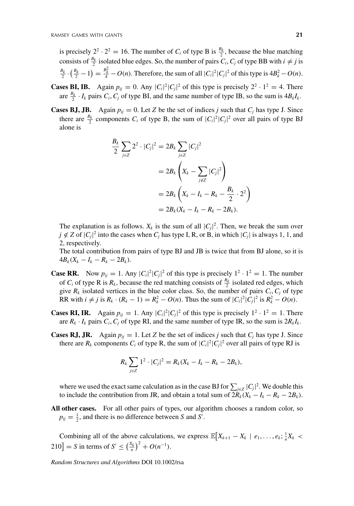is precisely  $2^2 \cdot 2^2 = 16$ . The number of *C<sub>i</sub>* of type B is  $\frac{B_k}{2}$ , because the blue matching consists of  $\frac{B_k}{2}$  isolated blue edges. So, the number of pairs *C<sub>i</sub>*, *C<sub>j</sub>* of type BB with  $i \neq j$  is  $\frac{B_k}{2} \cdot (\frac{B_k}{2} - 1) = \frac{B_k^2}{4} - O(n)$ . Therefore, the sum of all  $|C_i|^2 |C_j|^2$  of this type is  $4B_k^2 - O(n)$ .

- **Cases BI, IB.** Again  $p_{ij} = 0$ . Any  $|C_i|^2 |C_j|^2$  of this type is precisely  $2^2 \cdot 1^2 = 4$ . There are  $\frac{B_k}{2} \cdot I_k$  pairs  $C_i$ ,  $C_j$  of type BI, and the same number of type IB, so the sum is  $4B_kI_k$ .
- **Cases BJ, JB.** Again  $p_{ij} = 0$ . Let *Z* be the set of indices *j* such that  $C_j$  has type J. Since there are  $\frac{B_k}{2}$  components  $C_i$  of type B, the sum of  $|C_i|^2 |C_j|^2$  over all pairs of type BJ alone is

$$
\frac{B_k}{2} \sum_{j \in \mathbb{Z}} 2^2 \cdot |C_j|^2 = 2B_k \sum_{j \in \mathbb{Z}} |C_j|^2
$$
  
=  $2B_k \left( X_k - \sum_{j \notin \mathbb{Z}} |C_j|^2 \right)$   
=  $2B_k \left( X_k - I_k - R_k - \frac{B_k}{2} \cdot 2^2 \right)$   
=  $2B_k (X_k - I_k - R_k - 2B_k).$ 

The explanation is as follows.  $X_k$  is the sum of all  $|C_j|^2$ . Then, we break the sum over  $j \notin Z$  of  $|C_j|^2$  into the cases when  $C_j$  has type I, R, or B, in which  $|C_j|$  is always 1, 1, and 2, respectively.

The total contribution from pairs of type BJ and JB is twice that from BJ alone, so it is  $4B_k(X_k - I_k - R_k - 2B_k).$ 

- **Case RR.** Now  $p_{ij} = 1$ . Any  $|C_i|^2 |C_j|^2$  of this type is precisely  $1^2 \cdot 1^2 = 1$ . The number of  $C_i$  of type R is  $R_k$ , because the red matching consists of  $\frac{R_k}{2}$  isolated red edges, which give  $R_k$  isolated vertices in the blue color class. So, the number of pairs  $C_i$ ,  $C_j$  of type RR with  $i \neq j$  is  $R_k \cdot (R_k - 1) = R_k^2 - O(n)$ . Thus the sum of  $|C_i|^2 |C_j|^2$  is  $R_k^2 - O(n)$ .
- **Cases RI, IR.** Again  $p_{ij} = 1$ . Any  $|C_i|^2 |C_j|^2$  of this type is precisely  $1^2 \cdot 1^2 = 1$ . There are  $R_k \cdot I_k$  pairs  $C_i$ ,  $C_i$  of type RI, and the same number of type IR, so the sum is  $2R_kI_k$ .
- **Cases RJ, JR.** Again  $p_{ij} = 1$ . Let *Z* be the set of indices *j* such that  $C_j$  has type J. Since there are  $R_k$  components  $C_i$  of type R, the sum of  $|C_i|^2 |C_j|^2$  over all pairs of type RJ is

$$
R_k \sum_{j \in \mathbb{Z}} 1^2 \cdot |C_j|^2 = R_k (X_k - I_k - R_k - 2B_k),
$$

where we used the exact same calculation as in the case BJ for  $\sum_{j\in Z} |C_j|^2$ . We double this to include the contribution from JR, and obtain a total sum of  $2R_k(X_k - I_k - R_k - 2B_k)$ .

**All other cases.** For all other pairs of types, our algorithm chooses a random color, so  $p_{ij} = \frac{1}{2}$ , and there is no difference between *S* and *S'*.

Combining all of the above calculations, we express  $\mathbb{E}[X_{k+1} - X_k \mid e_1, \ldots, e_k; \frac{1}{n}X_k$  $210$ ] = *S* in terms of  $S' \le \left(\frac{X_k}{n}\right)^2 + O(n^{-1}).$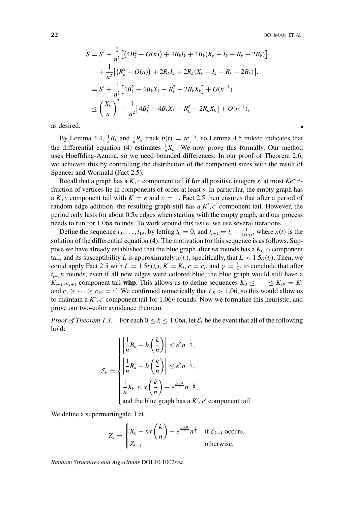**22** BOHMAN ET AL.

$$
S = S' - \frac{1}{n^2} \Big[ \big( 4B_k^2 - O(n) \big) + 4B_k I_k + 4B_k (X_k - I_k - R_k - 2B_k) \Big] + \frac{1}{n^2} \Big[ \big( R_k^2 - O(n) \big) + 2R_k I_k + 2R_k (X_k - I_k - R_k - 2B_k) \Big] = S' + \frac{1}{n^2} \Big[ 4B_k^2 - 4B_k X_k - R_k^2 + 2R_k X_k \Big] + O(n^{-1}) \le \left( \frac{X_k}{n} \right)^2 + \frac{1}{n^2} \Big[ 4B_k^2 - 4B_k X_k - R_k^2 + 2R_k X_k \Big] + O(n^{-1}),
$$

as desired.

By Lemma 4.4,  $\frac{1}{n}B_k$  and  $\frac{1}{n}R_k$  track  $b(t) = te^{-4t}$ , so Lemma 4.5 indeed indicates that the differential equation (4) estimates  $\frac{1}{n}X_m$ . We now prove this formally. Our method uses Hoeffding-Azuma, so we need bounded differences. In our proof of Theorem 2.6, we achieved this by controlling the distribution of the component sizes with the result of Spencer and Wormald (Fact 2.5).

Recall that a graph has a *K*, *c* component tail if for all positive integers *s*, at most *Ke*−*cs*fraction of vertices lie in components of order at least *s*. In particular, the empty graph has a *K*, *c* component tail with  $K = e$  and  $c = 1$ . Fact 2.5 then ensures that after a period of random edge addition, the resulting graph still has a  $K'$ ,  $c'$  component tail. However, the period only lasts for about 0.5*n* edges when starting with the empty graph, and our process needs to run for 1.06*n* rounds. To work around this issue, we use several iterations.

Define the sequence  $t_0, \ldots, t_{19}$ , by letting  $t_0 = 0$ , and  $t_{i+1} = t_i + \frac{1}{4x(t_i)}$ , where  $x(t)$  is the solution of the differential equation (4). The motivation for this sequence is as follows. Suppose we have already established that the blue graph after  $t_i$ *n* rounds has a  $K_i$ ,  $c_i$  component tail, and its susceptibility *L* is approximately  $x(t_i)$ , specifically, that  $L < 1.5x(t_i)$ . Then, we could apply Fact 2.5 with  $L = 1.5x(t_i)$ ,  $K = K_i$ ,  $c = c_i$ , and  $\gamma = \frac{1}{4}$ , to conclude that after  $t_{i+1}$ *n* rounds, even if all new edges were colored blue, the blue graph would still have a *K*<sub>i+1</sub>,  $c_{i+1}$  component tail **whp**. This allows us to define sequences  $K_0 \leq \cdots \leq K_{19} = K'$ and  $c_1 \geq \cdots \geq c_{19} = c'$ . We confirmed numerically that  $t_{19} > 1.06$ , so this would allow us to maintain a K', c' component tail for 1.06*n* rounds. Now we formalize this heuristic, and prove our two-color avoidance theorem.

*Proof of Theorem 1.3.* For each  $0 \le k \le 1.06n$ , let  $\mathcal{E}_k$  be the event that all of the following hold:

$$
\mathcal{E}_k = \begin{cases}\n\left|\frac{1}{n}B_k - b\left(\frac{k}{n}\right)\right| \le e^{8n^{-\frac{1}{3}}},\\ \n\left|\frac{1}{n}R_k - b\left(\frac{k}{n}\right)\right| \le e^{8n^{-\frac{1}{3}}},\\ \n\frac{1}{n}X_k \le x\left(\frac{k}{n}\right) + e^{\frac{500k}{n}n^{-\frac{1}{4}}},\\ \n\text{and the blue graph has a } K', c' \text{ component}\n\end{cases}
$$

and the blue graph has a  $K', c'$  component tail.

We define a supermartingale. Let

$$
Z_k = \begin{cases} X_k - nx\left(\frac{k}{n}\right) - e^{\frac{500k}{n}}n^{\frac{3}{4}} & \text{if } \mathcal{E}_{k-1} \text{ occurs,} \\ Z_{k-1} & \text{otherwise.} \end{cases}
$$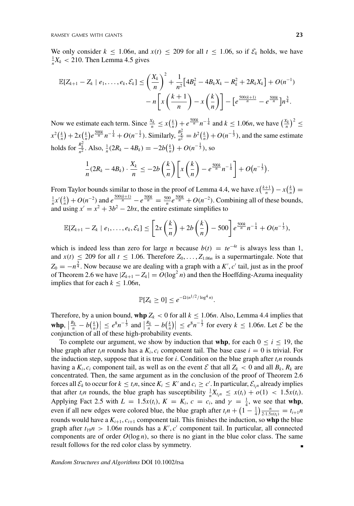We only consider  $k \le 1.06n$ , and  $x(t) \le 209$  for all  $t \le 1.06$ , so if  $\mathcal{E}_k$  holds, we have  $\frac{1}{n}X_k$  < 210. Then Lemma 4.5 gives

$$
\mathbb{E}[Z_{k+1} - Z_k \mid e_1, \dots, e_k, \mathcal{E}_k] \le \left(\frac{X_k}{n}\right)^2 + \frac{1}{n^2} \Big[ 4B_k^2 - 4B_k X_k - R_k^2 + 2R_k X_k \Big] + O(n^{-1})
$$

$$
- n \Big[ x \left(\frac{k+1}{n}\right) - x \left(\frac{k}{n}\right) \Big] - \Big[ e^{\frac{500(k+1)}{n}} - e^{\frac{500k}{n}} \Big] n^{\frac{3}{4}}.
$$

Now we estimate each term. Since  $\frac{X_k}{n} \le x(\frac{k}{n}) + e^{\frac{500k}{n}} n^{-\frac{1}{4}}$  and  $k \le 1.06n$ , we have  $(\frac{X_k}{n})^2 \le$  $x^2(\frac{k}{n}) + 2x(\frac{k}{n})e^{\frac{500k}{n}}n^{-\frac{1}{4}} + O(n^{-\frac{1}{2}})$ . Similarly,  $\frac{B_k^2}{n^2} = b^2(\frac{k}{n}) + O(n^{-\frac{1}{3}})$ , and the same estimate holds for  $\frac{R_k^2}{n^2}$ . Also,  $\frac{1}{n}(2R_k - 4B_k) = -2b(\frac{k}{n}) + O(n^{-\frac{1}{3}})$ , so

$$
\frac{1}{n}(2R_k-4B_k)\cdot\frac{X_k}{n}\leq -2b\left(\frac{k}{n}\right)\left[x\left(\frac{k}{n}\right)-e^{\frac{500k}{n}}n^{-\frac{1}{4}}\right]+O\left(n^{-\frac{1}{3}}\right).
$$

From Taylor bounds similar to those in the proof of Lemma 4.4, we have  $x\left(\frac{k+1}{n}\right) - x\left(\frac{k}{n}\right) =$  $\frac{1}{n}x'(\frac{k}{n}) + O(n^{-2})$  and  $e^{\frac{500(k+1)}{n}} - e^{\frac{500k}{n}} = \frac{500}{n}e^{\frac{500k}{n}} + O(n^{-2})$ . Combining all of these bounds, and using  $x' = x^2 + 3b^2 - 2bx$ , the entire estimate simplifies to

$$
\mathbb{E}[Z_{k+1}-Z_k \mid e_1,\ldots,e_k,\mathcal{E}_k] \leq \left[2x\left(\frac{k}{n}\right)+2b\left(\frac{k}{n}\right)-500\right]e^{\frac{500k}{n}n^{-\frac{1}{4}}}+O(n^{-\frac{1}{3}}),
$$

which is indeed less than zero for large *n* because  $b(t) = te^{-4t}$  is always less than 1, and  $x(t) \le 209$  for all  $t \le 1.06$ . Therefore  $Z_0, \ldots, Z_{1.06n}$  is a supermartingale. Note that  $Z_0 = -n^{\frac{3}{4}}$ . Now because we are dealing with a graph with a *K'*, *c'* tail, just as in the proof of Theorem 2.6 we have  $|Z_{k+1} - Z_k| = O(\log^2 n)$  and then the Hoeffding-Azuma inequality implies that for each  $k \leq 1.06n$ ,

$$
\mathbb{P}[Z_k \geq 0] \leq e^{-\Omega(n^{1/2}/\log^4 n)}.
$$

Therefore, by a union bound, whp  $Z_k < 0$  for all  $k \le 1.06n$ . Also, Lemma 4.4 implies that  $|\sinh \theta|, |\frac{B_k}{n} - b(\frac{k}{n})| \le e^{8n-\frac{1}{3}}$  and  $|\frac{R_k}{n} - b(\frac{k}{n})| \le e^{8n-\frac{1}{3}}$  for every  $k \le 1.06n$ . Let  $\mathcal{E}$  be the conjunction of all of these high-probability events.

To complete our argument, we show by induction that **whp**, for each  $0 \le i \le 19$ , the blue graph after  $t_i$ n rounds has a  $K_i$ ,  $c_i$  component tail. The base case  $i = 0$  is trivial. For the induction step, suppose that it is true for  $i$ . Condition on the blue graph after  $t_i$ *n* rounds having a  $K_i$ ,  $c_i$  component tail, as well as on the event  $\mathcal E$  that all  $Z_k < 0$  and all  $B_k$ ,  $R_k$  are concentrated. Then, the same argument as in the conclusion of the proof of Theorem 2.6 forces all  $\mathcal{E}_k$  to occur for  $k \leq t_i n$ , since  $K_i \leq K'$  and  $c_i \geq c'$ . In particular,  $\mathcal{E}_{t_i n}$  already implies that after  $t_i n$  rounds, the blue graph has susceptibility  $\frac{1}{n}X_{t_i n} \leq x(t_i) + o(1) < 1.5x(t_i)$ . Applying Fact 2.5 with  $L = 1.5x(t_i)$ ,  $K = K_i$ ,  $c = c_i$ , and  $\gamma = \frac{1}{4}$ , we see that **whp**, even if all new edges were colored blue, the blue graph after  $t_i n + \left(1 - \frac{1}{4}\right) \frac{n}{2 \cdot 1.5x(t_i)} = t_{i+1} n$ rounds would have a  $K_{i+1}$ ,  $c_{i+1}$  component tail. This finishes the induction, so whp the blue graph after  $t_{19}n > 1.06n$  rounds has a  $K', c'$  component tail. In particular, all connected components are of order  $O(\log n)$ , so there is no giant in the blue color class. The same result follows for the red color class by symmetry.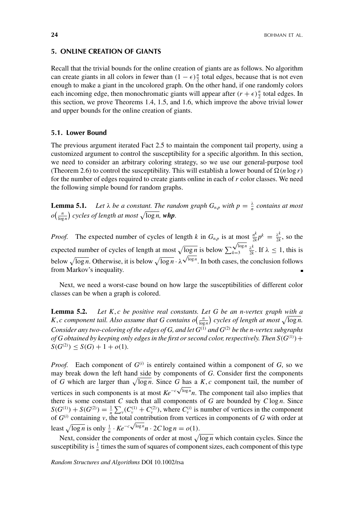#### **5. ONLINE CREATION OF GIANTS**

Recall that the trivial bounds for the online creation of giants are as follows. No algorithm can create giants in all colors in fewer than  $(1 - \epsilon) \frac{n}{2}$  total edges, because that is not even enough to make a giant in the uncolored graph. On the other hand, if one randomly colors each incoming edge, then monochromatic giants will appear after  $(r + \epsilon) \frac{n}{2}$  total edges. In this section, we prove Theorems 1.4, 1.5, and 1.6, which improve the above trivial lower and upper bounds for the online creation of giants.

# **5.1. Lower Bound**

The previous argument iterated Fact 2.5 to maintain the component tail property, using a customized argument to control the susceptibility for a specific algorithm. In this section, we need to consider an arbitrary coloring strategy, so we use our general-purpose tool (Theorem 2.6) to control the susceptibility. This will establish a lower bound of  $\Omega(n \log r)$ for the number of edges required to create giants online in each of *r* color classes. We need the following simple bound for random graphs.

**Lemma 5.1.** Let  $\lambda$  be a constant. The random graph  $G_{n,p}$  with  $p = \frac{\lambda}{n}$  contains at most  $o\left(\frac{n}{\log n}\right)$  cycles of length at most  $\sqrt{\log n}$ , whp.

*Proof.* The expected number of cycles of length *k* in  $G_{n,p}$  is at most  $\frac{n^k}{2k}p^k = \frac{\lambda^k}{2k}$ , so the expected number of cycles of length at most  $\sqrt{\log n}$  is below  $\sum_{k=3}^{\sqrt{\log n}}$  $\frac{\lambda^k}{2k}$ . If  $\lambda \leq 1$ , this is below  $\sqrt{\log n}$ . Otherwise, it is below  $\sqrt{\log n} \cdot \lambda \sqrt{\log n}$ . In both cases, the conclusion follows from Markov's inequality.

Next, we need a worst-case bound on how large the susceptibilities of different color classes can be when a graph is colored.

**Lemma 5.2.** *Let K*, *c be positive real constants. Let G be an n-vertex graph with a K*, *c* component tail. Also assume that G contains  $o(\frac{n}{\log n})$  cycles of length at most  $\sqrt{\log n}$ . *Consider any two-coloring of the edges of G, and let G*(1) *and G*(2) *be the n-vertex subgraphs of G obtained by keeping only edges in the first or second color, respectively. Then*  $S(G^{(1)})$  *+*  $S(G^{(2)}) \leq S(G) + 1 + o(1)$ *.* 

*Proof.* Each component of  $G^{(i)}$  is entirely contained within a component of  $G$ , so we may break down the left hand side by components of *G*. Consider first the components of *G* which are larger than  $\sqrt{\log n}$ . Since *G* has a *K*, *c* component tail, the number of vertices in such components is at most  $Ke^{-c\sqrt{\log n}}n$ . The component tail also implies that there is some constant  $C$  such that all components of  $G$  are bounded by  $C \log n$ . Since  $S(G^{(1)}) + S(G^{(2)}) = \frac{1}{n} \sum_{v} (C_v^{(1)} + C_v^{(2)})$ , where  $C_v^{(i)}$  is number of vertices in the component of  $G^{(i)}$  containing *v*, the total contribution from vertices in components of *G* with order at least  $\sqrt{\log n}$  is only  $\frac{1}{n} \cdot Ke^{-c\sqrt{\log n}} n \cdot 2C \log n = o(1)$ .

Next, consider the components of order at most  $\sqrt{\log n}$  which contain cycles. Since the susceptibility is  $\frac{1}{n}$  times the sum of squares of component sizes, each component of this type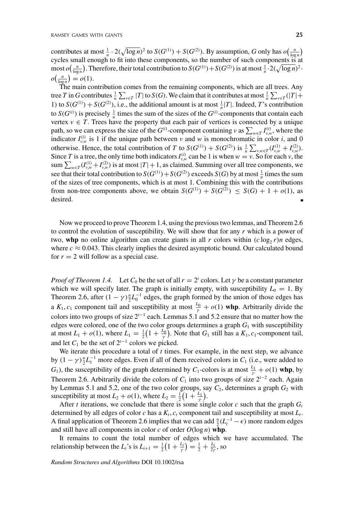contributes at most  $\frac{1}{n} \cdot 2(\sqrt{\log n})^2$  to  $S(G^{(1)}) + S(G^{(2)})$ . By assumption, *G* only has  $o(\frac{n}{\log n})$ cycles small enough to fit into these components, so the number of such components is at  $\frac{1}{\log n}$ , most  $o\left(\frac{n}{\log n}\right)$ . Therefore, their total contribution to  $S(G^{(1)}) + S(G^{(2)})$  is at most  $\frac{1}{n} \cdot 2(\sqrt{\log n})^2$ .  $o\left(\frac{n}{\log n}\right) = o(1).$ 

The main contribution comes from the remaining components, which are all trees. Any tree *T* in *G* contributes  $\frac{1}{n} \sum_{v \in T} |T|$  to *S*(*G*). We claim that it contributes at most  $\frac{1}{n} \sum_{v \in T} (|T| +$ 1) to  $S(G^{(1)}) + S(G^{(2)})$ , i.e., the additional amount is at most  $\frac{1}{n}|T|$ . Indeed, *T*'s contribution to *S*( $G^{(i)}$ ) is precisely  $\frac{1}{n}$  times the sum of the sizes of the  $G^{(i)}$ -components that contain each vertex  $v \in T$ . Trees have the property that each pair of vertices is connected by a unique path, so we can express the size of the *G*<sup>(*i*)</sup>-component containing *v* as  $\sum_{w \in T} I_{v,w}^{(i)}$ , where the indicator  $I_{\nu,\omega}^{(i)}$  is 1 if the unique path between  $\nu$  and  $\omega$  is monochromatic in color *i*, and 0 otherwise. Hence, the total contribution of *T* to  $S(G^{(1)}) + S(G^{(2)})$  is  $\frac{1}{n} \sum_{y,w \in T} (I_{y,w}^{(1)} + I_{y,w}^{(2)})$ . Since *T* is a tree, the only time both indicators  $I_{v,w}^{(i)}$  can be 1 is when  $w = v$ . So for each *v*, the sum  $\sum_{w \in T} (I_{v,w}^{(1)} + I_{v,w}^{(2)})$  is at most  $|T| + 1$ , as claimed. Summing over all tree components, we see that their total contribution to  $S(G^{(1)}) + S(G^{(2)})$  exceeds  $S(G)$  by at most  $\frac{1}{n}$  times the sum of the sizes of tree components, which is at most 1. Combining this with the contributions from non-tree components above, we obtain  $S(G^{(1)}) + S(G^{(2)}) \leq S(G) + 1 + o(1)$ , as desired. п

Now we proceed to prove Theorem 1.4, using the previous two lemmas, and Theorem 2.6 to control the evolution of susceptibility. We will show that for any *r* which is a power of two, whp no online algorithm can create giants in all *r* colors within  $(c \log_2 r)n$  edges, where  $c \approx 0.043$ . This clearly implies the desired asymptotic bound. Our calculated bound for  $r = 2$  will follow as a special case.

*Proof of Theorem 1.4.* Let  $C_0$  be the set of all  $r = 2^t$  colors. Let  $\gamma$  be a constant parameter which we will specify later. The graph is initially empty, with susceptibility  $L_0 = 1$ . By Theorem 2.6, after  $(1 - \gamma) \frac{n}{2} L_0^{-1}$  edges, the graph formed by the union of those edges has a  $K_1$ ,  $c_1$  component tail and susceptibility at most  $\frac{L_0}{\gamma} + o(1)$  whp. Arbitrarily divide the colors into two groups of size 2*<sup>t</sup>*−<sup>1</sup> each. Lemmas 5.1 and 5.2 ensure that no matter how the edges were colored, one of the two color groups determines a graph  $G_1$  with susceptibility at most  $L_1 + o(1)$ , where  $L_1 = \frac{1}{2}(1 + \frac{L_0}{\gamma})$ . Note that  $G_1$  still has a  $K_1$ ,  $c_1$ -component tail, and let  $C_1$  be the set of  $2^{t-1}$  colors we picked.

We iterate this procedure a total of *t* times. For example, in the next step, we advance by  $(1 - \gamma) \frac{n}{2} L_1^{-1}$  more edges. Even if all of them received colors in  $C_1$  (i.e., were added to *G*<sub>1</sub>), the susceptibility of the graph determined by *C*<sub>1</sub>-colors is at most  $\frac{L_1}{\gamma} + o(1)$  whp, by Theorem 2.6. Arbitrarily divide the colors of  $C_1$  into two groups of size  $2^{t-2}$  each. Again by Lemmas 5.1 and 5.2, one of the two color groups, say  $C_2$ , determines a graph  $G_2$  with susceptibility at most  $L_2 + o(1)$ , where  $L_2 = \frac{1}{2} \left( 1 + \frac{L_1}{\gamma} \right)$ .

After *t* iterations, we conclude that there is some single color  $c$  such that the graph  $G_t$ determined by all edges of color  $c$  has a  $K_t$ ,  $c_t$  component tail and susceptibility at most  $L_t$ . A final application of Theorem 2.6 implies that we can add  $\frac{n}{2}(L_t^{-1} - \epsilon)$  more random edges and still have all components in color  $c$  of order  $O(\log n)$  whp.

It remains to count the total number of edges which we have accumulated. The relationship between the *L<sub>i</sub>*'s is  $L_{i+1} = \frac{1}{2} \left( 1 + \frac{L_i}{\gamma} \right) = \frac{1}{2} + \frac{L_i}{2\gamma}$ , so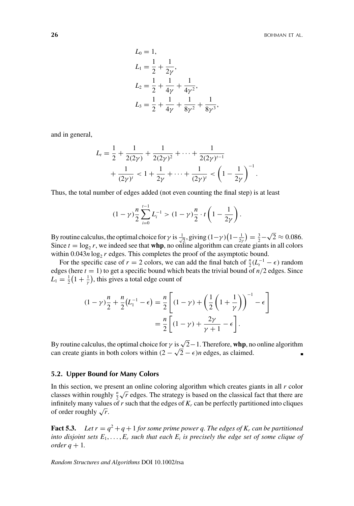$$
L_0 = 1,
$$
  
\n
$$
L_1 = \frac{1}{2} + \frac{1}{2\gamma},
$$
  
\n
$$
L_2 = \frac{1}{2} + \frac{1}{4\gamma} + \frac{1}{4\gamma^2},
$$
  
\n
$$
L_3 = \frac{1}{2} + \frac{1}{4\gamma} + \frac{1}{8\gamma^2} + \frac{1}{8\gamma^3},
$$

and in general,

$$
L_{t} = \frac{1}{2} + \frac{1}{2(2\gamma)} + \frac{1}{2(2\gamma)^{2}} + \dots + \frac{1}{2(2\gamma)^{t-1}} + \frac{1}{(2\gamma)^{t}} < 1 + \frac{1}{2\gamma} + \dots + \frac{1}{(2\gamma)^{t}} < \left(1 - \frac{1}{2\gamma}\right)^{-1}.
$$

Thus, the total number of edges added (not even counting the final step) is at least

$$
(1 - \gamma) \frac{n}{2} \sum_{i=0}^{t-1} L_i^{-1} > (1 - \gamma) \frac{n}{2} \cdot t \left( 1 - \frac{1}{2\gamma} \right).
$$

By routine calculus, the optimal choice for  $\gamma$  is  $\frac{1}{\sqrt{2}}$ , giving  $(1-\gamma)(1-\frac{1}{2\gamma}) = \frac{3}{2}-\sqrt{2} \approx 0.086$ . Since  $t = \log_2 r$ , we indeed see that **whp**, no online algorithm can create giants in all colors within  $0.043n \log_2 r$  edges. This completes the proof of the asymptotic bound.

For the specific case of *r* = 2 colors, we can add the final batch of  $\frac{n}{2}(L_t^{-1} - \epsilon)$  random edges (here  $t = 1$ ) to get a specific bound which beats the trivial bound of  $n/2$  edges. Since  $L_1 = \frac{1}{2}(1 + \frac{1}{\gamma})$ , this gives a total edge count of

$$
(1 - \gamma) \frac{n}{2} + \frac{n}{2} (L_1^{-1} - \epsilon) = \frac{n}{2} \left[ (1 - \gamma) + \left( \frac{1}{2} \left( 1 + \frac{1}{\gamma} \right) \right)^{-1} - \epsilon \right]
$$

$$
= \frac{n}{2} \left[ (1 - \gamma) + \frac{2\gamma}{\gamma + 1} - \epsilon \right].
$$

By routine calculus, the optimal choice for  $\gamma$  is  $\sqrt{2}-1$ . Therefore, **whp**, no online algorithm can create giants in both colors within  $(2 - \sqrt{2} - \epsilon)n$  edges, as claimed.

#### **5.2. Upper Bound for Many Colors**

In this section, we present an online coloring algorithm which creates giants in all *r* color classes within roughly  $\frac{n}{2}\sqrt{r}$  edges. The strategy is based on the classical fact that there are infinitely many values of  $r$  such that the edges of  $K_r$  can be perfectly partitioned into cliques of order roughly  $\sqrt{r}$ .

**Fact 5.3.** *Let*  $r = q^2 + q + 1$  *for some prime power q. The edges of K<sub>r</sub> can be partitioned into disjoint sets*  $E_1, \ldots, E_r$  *such that each*  $E_i$  *is precisely the edge set of some clique of order*  $q + 1$ *.*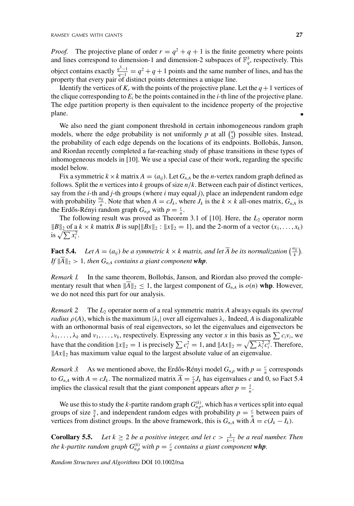*Proof.* The projective plane of order  $r = q^2 + q + 1$  is the finite geometry where points and lines correspond to dimension-1 and dimension-2 subspaces of  $\mathbb{F}_q^3$ , respectively. This object contains exactly  $\frac{q^3-1}{q-1} = q^2 + q + 1$  points and the same number of lines, and has the property that every pair of distinct points determines a unique line.

Identify the vertices of  $K_r$  with the points of the projective plane. Let the  $q+1$  vertices of the clique corresponding to  $E_i$  be the points contained in the *i*-th line of the projective plane. The edge partition property is then equivalent to the incidence property of the projective plane.

We also need the giant component threshold in certain inhomogeneous random graph models, where the edge probability is not uniformly  $p$  at all  $\binom{n}{2}$  possible sites. Instead, the probability of each edge depends on the locations of its endpoints. Bollobás, Janson, and Riordan recently completed a far-reaching study of phase transitions in these types of inhomogeneous models in [10]. We use a special case of their work, regarding the specific model below.

Fix a symmetric  $k \times k$  matrix  $A = (a_{ij})$ . Let  $G_{n,A}$  be the *n*-vertex random graph defined as follows. Split the *n* vertices into *k* groups of size *n*/*k*. Between each pair of distinct vertices, say from the *i*-th and *j*-th groups (where *i* may equal *j*), place an independent random edge with probability  $\frac{a_{ij}}{n}$ . Note that when  $A = cJ_k$ , where  $J_k$  is the  $k \times k$  all-ones matrix,  $G_{n,A}$  is the Erdős-Rényi random graph  $G_{n,p}$  with  $p = \frac{c}{n}$ .

The following result was proved as Theorem 3.1 of  $[10]$ . Here, the  $L_2$  operator norm  $||B||_2$  of a  $k \times k$  matrix *B* is sup{ $||Bx||_2 : ||x||_2 = 1$ }, and the 2-norm of a vector  $(x_1, \ldots, x_k)$ is  $\sqrt{\sum x_i^2}$ .

**Fact 5.4.** *Let*  $A = (a_{ij})$  *be a symmetric*  $k \times k$  *matrix, and let*  $\overline{A}$  *be its normalization*  $\left(\frac{a_{ij}}{k}\right)$ *.*  $\overline{f}$   $\|\overline{A}\|_2 > 1$ , then  $G_{n,A}$  contains a giant component whp.

*Remark 1.* In the same theorem, Bollobás, Janson, and Riordan also proved the complementary result that when  $\|\overline{A}\|_2 \leq 1$ , the largest component of  $G_{n,A}$  is  $o(n)$  whp. However, we do not need this part for our analysis.

*Remark 2.* The *L*<sup>2</sup> operator norm of a real symmetric matrix *A* always equals its *spectral radius*  $\rho(A)$ , which is the maximum  $|\lambda_i|$  over all eigenvalues  $\lambda_i$ . Indeed, A is diagonalizable with an orthonormal basis of real eigenvectors, so let the eigenvalues and eigenvectors be  $\lambda_1, \ldots, \lambda_k$  and  $v_1, \ldots, v_k$ , respectively. Expressing any vector *x* in this basis as  $\sum c_i v_i$ , we have that the condition  $||x||_2 = 1$  is precisely  $\sum c_i^2 = 1$ , and  $||Ax||_2 = \sqrt{\sum \lambda_i^2 c_i^2}$ . Therefore,  $||Ax||_2$  has maximum value equal to the largest absolute value of an eigenvalue.

*Remark 3.* As we mentioned above, the Erdős-Rényi model  $G_{n,p}$  with  $p = \frac{c}{n}$  corresponds to  $G_{n,A}$  with  $A = cJ_k$ . The normalized matrix  $\overline{A} = \frac{c}{k}J_k$  has eigenvalues *c* and 0, so Fact 5.4 implies the classical result that the giant component appears after  $p = \frac{1}{n}$ .

We use this to study the *k*-partite random graph  $G_{n,p}^{(k)}$ , which has *n* vertices split into equal groups of size  $\frac{n}{k}$ , and independent random edges with probability  $p = \frac{c}{n}$  between pairs of vertices from distinct groups. In the above framework, this is  $G_{n,A}$  with  $A = c(J_k - I_k)$ .

**Corollary 5.5.** *Let*  $k \ge 2$  *be a positive integer, and let*  $c > \frac{k}{k-1}$  *be a real number. Then the k-partite random graph*  $G_{n,p}^{(k)}$  *with*  $p = \frac{c}{n}$  *contains a giant component whp.*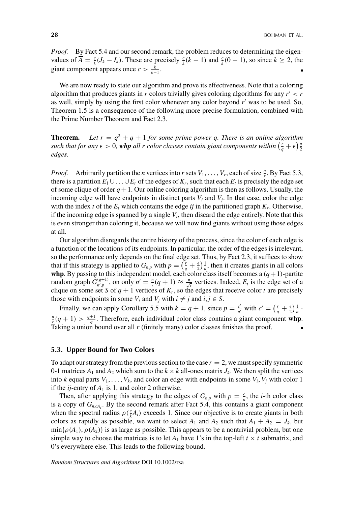*Proof.* By Fact 5.4 and our second remark, the problem reduces to determining the eigenvalues of  $\overline{A} = \frac{c}{k}(J_k - I_k)$ . These are precisely  $\frac{c}{k}(k-1)$  and  $\frac{c}{k}(0-1)$ , so since  $k \ge 2$ , the giant component appears once  $c > \frac{k}{k-1}$ .

We are now ready to state our algorithm and prove its effectiveness. Note that a coloring algorithm that produces giants in *r* colors trivially gives coloring algorithms for any  $r' < r$ as well, simply by using the first color whenever any color beyond *r* was to be used. So, Theorem 1.5 is a consequence of the following more precise formulation, combined with the Prime Number Theorem and Fact 2.3.

**Theorem.** Let  $r = q^2 + q + 1$  for some prime power q. There is an online algorithm *such that for any*  $\epsilon > 0$ , whp all r color classes contain giant components within  $(\frac{r}{q} + \epsilon)\frac{n}{2}$ *edges.*

*Proof.* Arbitrarily partition the *n* vertices into *r* sets  $V_1, \ldots, V_r$ , each of size  $\frac{n}{r}$ . By Fact 5.3, there is a partition  $E_1 \cup \ldots \cup E_r$  of the edges of  $K_r$ , such that each  $E_t$  is precisely the edge set of some clique of order  $q+1$ . Our online coloring algorithm is then as follows. Usually, the incoming edge will have endpoints in distinct parts  $V_i$  and  $V_j$ . In that case, color the edge with the index *t* of the  $E_t$  which contains the edge *ij* in the partitioned graph  $K_r$ . Otherwise, if the incoming edge is spanned by a single  $V_i$ , then discard the edge entirely. Note that this is even stronger than coloring it, because we will now find giants without using those edges at all.

Our algorithm disregards the entire history of the process, since the color of each edge is a function of the locations of its endpoints. In particular, the order of the edges is irrelevant, so the performance only depends on the final edge set. Thus, by Fact 2.3, it suffices to show that if this strategy is applied to  $G_{n,p}$  with  $p = \left(\frac{r}{q} + \frac{\epsilon}{2}\right)\frac{1}{n}$ , then it creates giants in all colors **whp**. By passing to this independent model, each color class itself becomes a  $(q+1)$ -partite random graph  $\tilde{G}_{n',p}^{(q+1)}$ , on only  $n' = \frac{n}{r}(q+1) \approx \frac{n}{\sqrt{r}}$  vertices. Indeed,  $E_t$  is the edge set of a clique on some set *S* of  $q + 1$  vertices of  $K_r$ , so the edges that receive color *t* are precisely those with endpoints in some  $V_i$  and  $V_j$  with  $i \neq j$  and  $i, j \in S$ .

Finally, we can apply Corollary 5.5 with  $k = q + 1$ , since  $p = \frac{c'}{n'}$  with  $c' = (\frac{r}{q} + \frac{1}{2})\frac{1}{n}$ .  $\frac{n}{r}(q+1) > \frac{q+1}{q}$ . Therefore, each individual color class contains a giant component **whp**. Taking a union bound over all  $r$  (finitely many) color classes finishes the proof.

### **5.3. Upper Bound for Two Colors**

To adapt our strategy from the previous section to the case  $r = 2$ , we must specify symmetric 0-1 matrices  $A_1$  and  $A_2$  which sum to the  $k \times k$  all-ones matrix  $J_k$ . We then split the vertices into *k* equal parts  $V_1, \ldots, V_k$ , and color an edge with endpoints in some  $V_i$ ,  $V_j$  with color 1 if the  $ij$ -entry of  $A_1$  is 1, and color 2 otherwise.

Then, after applying this strategy to the edges of  $G_{n,p}$  with  $p = \frac{c}{n}$ , the *i*-th color class is a copy of  $G_{n, cA_i}$ . By the second remark after Fact 5.4, this contains a giant component when the spectral radius  $\rho(\frac{c}{k}A_i)$  exceeds 1. Since our objective is to create giants in both colors as rapidly as possible, we want to select  $A_1$  and  $A_2$  such that  $A_1 + A_2 = J_k$ , but  $\min{\{\rho(A_1), \rho(A_2)\}}$  is as large as possible. This appears to be a nontrivial problem, but one simple way to choose the matrices is to let  $A_1$  have 1's in the top-left  $t \times t$  submatrix, and 0's everywhere else. This leads to the following bound.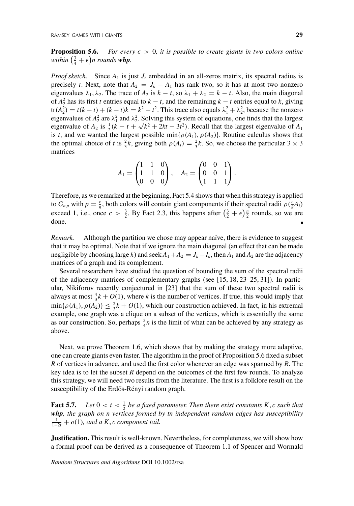**Proposition 5.6.** For every  $\epsilon > 0$ , it is possible to create giants in two colors online *within*  $\left(\frac{3}{4} + \epsilon\right)$ *n rounds whp.* 

*Proof sketch.* Since  $A_1$  is just  $J_t$  embedded in an all-zeros matrix, its spectral radius is precisely *t*. Next, note that  $A_2 = J_k - A_1$  has rank two, so it has at most two nonzero eigenvalues  $\lambda_1, \lambda_2$ . The trace of  $A_2$  is  $k - t$ , so  $\lambda_1 + \lambda_2 = k - t$ . Also, the main diagonal of  $A_2^2$  has its first *t* entries equal to  $k - t$ , and the remaining  $k - t$  entries equal to  $k$ , giving  $tr(A_2^2) = t(k - t) + (k - t)k = k^2 - t^2$ . This trace also equals  $\lambda_1^2 + \lambda_2^2$ , because the nonzero eigenvalues of  $A_2^2$  are  $\lambda_1^2$  and  $\lambda_2^2$ . Solving this system of equations, one finds that the largest eigenvalue of  $A_2$  is  $\frac{1}{2}(k - t + \sqrt{k^2 + 2kt - 3t^2})$ . Recall that the largest eigenvalue of  $A_1$ is *t*, and we wanted the largest possible min $\{\rho(A_1), \rho(A_2)\}$ . Routine calculus shows that the optimal choice of *t* is  $\frac{2}{3}k$ , giving both  $\rho(A_i) = \frac{2}{3}k$ . So, we choose the particular 3 × 3 matrices

$$
A_1 = \begin{pmatrix} 1 & 1 & 0 \\ 1 & 1 & 0 \\ 0 & 0 & 0 \end{pmatrix}, \quad A_2 = \begin{pmatrix} 0 & 0 & 1 \\ 0 & 0 & 1 \\ 1 & 1 & 1 \end{pmatrix}.
$$

Therefore, as we remarked at the beginning, Fact 5.4 shows that when this strategy is applied to  $G_{n,p}$  with  $p = \frac{c}{n}$ , both colors will contain giant components if their spectral radii  $\rho(\frac{c}{k}A_i)$ exceed 1, i.e., once  $c > \frac{3}{2}$ . By Fact 2.3, this happens after  $(\frac{3}{2} + \epsilon)\frac{n}{2}$  rounds, so we are done.

*Remark.* Although the partition we chose may appear naïve, there is evidence to suggest that it may be optimal. Note that if we ignore the main diagonal (an effect that can be made negligible by choosing large *k*) and seek  $A_1 + A_2 = J_k - I_k$ , then  $A_1$  and  $A_2$  are the adjacency matrices of a graph and its complement.

Several researchers have studied the question of bounding the sum of the spectral radii of the adjacency matrices of complementary graphs (see [15, 18, 23–25, 31]). In particular, Nikiforov recently conjectured in [23] that the sum of these two spectral radii is always at most  $\frac{4}{3}k + O(1)$ , where *k* is the number of vertices. If true, this would imply that  $\min\{\rho(A_1), \rho(A_2)\}\leq \frac{2}{3}k + O(1)$ , which our construction achieved. In fact, in his extremal example, one graph was a clique on a subset of the vertices, which is essentially the same as our construction. So, perhaps  $\frac{3}{4}n$  is the limit of what can be achieved by any strategy as above.

Next, we prove Theorem 1.6, which shows that by making the strategy more adaptive, one can create giants even faster. The algorithm in the proof of Proposition 5.6 fixed a subset *R* of vertices in advance, and used the first color whenever an edge was spanned by *R*. The key idea is to let the subset *R* depend on the outcomes of the first few rounds. To analyze this strategy, we will need two results from the literature. The first is a folklore result on the susceptibility of the Erdős-Rényi random graph.

**Fact 5.7.** *Let*  $0 < t < \frac{1}{2}$  *be a fixed parameter. Then there exist constants K, c such that whp, the graph on n vertices formed by tn independent random edges has susceptibility*  $\frac{1}{1-2t} + o(1)$ , and a K, *c* component tail.

**Justification.** This result is well-known. Nevertheless, for completeness, we will show how a formal proof can be derived as a consequence of Theorem 1.1 of Spencer and Wormald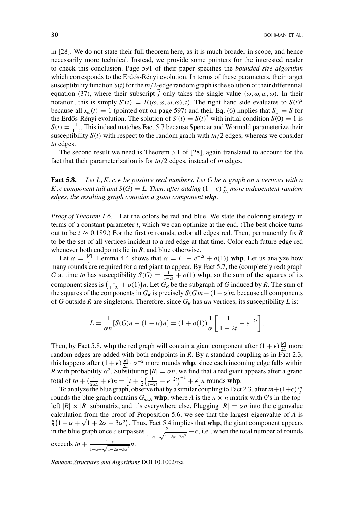in [28]. We do not state their full theorem here, as it is much broader in scope, and hence necessarily more technical. Instead, we provide some pointers for the interested reader to check this conclusion. Page 591 of their paper specifies the *bounded size algorithm* which corresponds to the Erdős-Rényi evolution. In terms of these parameters, their target susceptibility function  $S(t)$  for the  $t\frac{n}{2}$ -edge random graph is the solution of their differential equation (37), where their subscript *j* only takes the single value  $(\omega, \omega, \omega, \omega)$ . In their notation, this is simply  $S'(t) = I((\omega, \omega, \omega, \omega), t)$ . The right hand side evaluates to  $S(t)^2$ because all  $x_{\omega}(t) = 1$  (pointed out on page 597) and their Eq. (6) implies that  $S_{\omega} = S$  for the Erdős-Rényi evolution. The solution of  $S'(t) = S(t)^2$  with initial condition  $S(0) = 1$  is  $S(t) = \frac{1}{1-t}$ . This indeed matches Fact 5.7 because Spencer and Wormald parameterize their susceptibility  $S(t)$  with respect to the random graph with  $tn/2$  edges, whereas we consider *tn* edges.

The second result we need is Theorem 3.1 of [28], again translated to account for the fact that their parameterization is for *tn*/2 edges, instead of *tn* edges.

**Fact 5.8.** Let  $L, K, c, \epsilon$  be positive real numbers. Let G be a graph on n vertices with a *K*, *c component tail and*  $S(G) = L$ . Then, after adding  $(1+\epsilon)\frac{n}{2L}$  more independent random *edges, the resulting graph contains a giant component whp.*

*Proof of Theorem 1.6.* Let the colors be red and blue. We state the coloring strategy in terms of a constant parameter *t*, which we can optimize at the end. (The best choice turns out to be  $t \approx 0.189$ .) For the first *tn* rounds, color all edges red. Then, permanently fix *R* to be the set of all vertices incident to a red edge at that time. Color each future edge red whenever both endpoints lie in *R*, and blue otherwise.

Let  $\alpha = \frac{|R|}{n}$ . Lemma 4.4 shows that  $\alpha = (1 - e^{-2t} + o(1))$  whp. Let us analyze how many rounds are required for a red giant to appear. By Fact 5.7, the (completely red) graph *G* at time *tn* has susceptibility  $S(G) = \frac{1}{1-2t} + o(1)$  whp, so the sum of the squares of its component sizes is  $\left(\frac{1}{1-2t} + o(1)\right)n$ . Let  $G_R$  be the subgraph of *G* induced by *R*. The sum of the squares of the components in  $G_R$  is precisely  $S(G)n - (1 - \alpha)n$ , because all components of *G* outside *R* are singletons. Therefore, since  $G_R$  has  $\alpha n$  vertices, its susceptibility *L* is:

$$
L = \frac{1}{\alpha n} [S(G)n - (1 - \alpha)n] = (1 + o(1)) \frac{1}{\alpha} \left[ \frac{1}{1 - 2t} - e^{-2t} \right].
$$

Then, by Fact 5.8, whp the red graph will contain a giant component after  $(1 + \epsilon) \frac{|R|}{2L}$  more random edges are added with both endpoints in *R*. By a standard coupling as in Fact 2.3, this happens after  $(1 + \epsilon) \frac{|R|}{2L} \cdot \alpha^{-2}$  more rounds **whp**, since each incoming edge falls within *R* with probability  $\alpha^2$ . Substituting  $|R| = \alpha n$ , we find that a red giant appears after a grand total of  $tn + (\frac{1}{2\alpha L} + \epsilon)n = \left[t + \frac{1}{2}(\frac{1}{1-2t} - e^{-2t})^{-1} + \epsilon\right]n$  rounds whp.

To analyze the blue graph, observe that by a similar coupling to Fact 2.3, after  $tn + (1+\epsilon)\frac{cn}{2}$ rounds the blue graph contains  $G_{n, cA}$  whp, where *A* is the  $n \times n$  matrix with 0's in the topleft  $|R| \times |R|$  submatrix, and 1's everywhere else. Plugging  $|R| = \alpha n$  into the eigenvalue calculation from the proof of Proposition 5.6, we see that the largest eigenvalue of *A* is  $\frac{n}{2}$   $(1 - \alpha + \sqrt{1 + 2\alpha - 3\alpha^2})$ . Thus, Fact 5.4 implies that **whp**, the giant component appears in the blue graph once *c* surpasses  $\frac{2}{1-\alpha+\sqrt{1+2\alpha-3\alpha^2}} + \epsilon$ , i.e., when the total number of rounds exceeds  $tn + \frac{1+\epsilon}{1-\alpha+\sqrt{1+2\alpha-3\alpha^2}}n$ .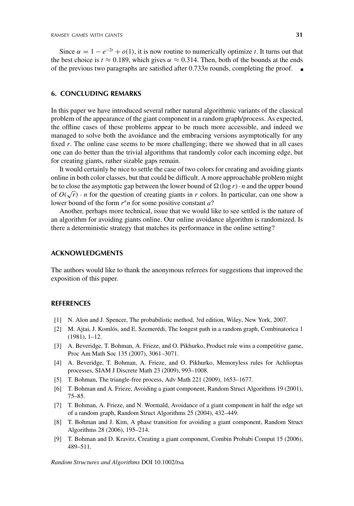Since  $\alpha = 1 - e^{-2t} + o(1)$ , it is now routine to numerically optimize *t*. It turns out that the best choice is  $t \approx 0.189$ , which gives  $\alpha \approx 0.314$ . Then, both of the bounds at the ends of the previous two paragraphs are satisfied after 0.733*n* rounds, completing the proof.

# **6. CONCLUDING REMARKS**

In this paper we have introduced several rather natural algorithmic variants of the classical problem of the appearance of the giant component in a random graph/process. As expected, the offline cases of these problems appear to be much more accessible, and indeed we managed to solve both the avoidance and the embracing versions asymptotically for any fixed *r*. The online case seems to be more challenging; there we showed that in all cases one can do better than the trivial algorithms that randomly color each incoming edge, but for creating giants, rather sizable gaps remain.

It would certainly be nice to settle the case of two colors for creating and avoiding giants online in both color classes, but that could be difficult. A more approachable problem might be to close the asymptotic gap between the lower bound of  $\Omega(\log r) \cdot n$  and the upper bound of  $O(\sqrt{r}) \cdot n$  for the question of creating giants in *r* colors. In particular, can one show a lower bound of the form  $r^a n$  for some positive constant  $a$ ?

Another, perhaps more technical, issue that we would like to see settled is the nature of an algorithm for avoiding giants online. Our online avoidance algorithm is randomized. Is there a deterministic strategy that matches its performance in the online setting?

#### **ACKNOWLEDGMENTS**

The authors would like to thank the anonymous referees for suggestions that improved the exposition of this paper.

#### **REFERENCES**

- [1] N. Alon and J. Spencer, The probabilistic method, 3rd edition, Wiley, New York, 2007.
- [2] M. Ajtai, J. Komlós, and E. Szemerédi, The longest path in a random graph, Combinatorica 1 (1981), 1–12.
- [3] A. Beveridge, T. Bohman, A. Frieze, and O. Pikhurko, Product rule wins a competitive game, Proc Am Math Soc 135 (2007), 3061–3071.
- [4] A. Beveridge, T. Bohman, A. Frieze, and O. Pikhurko, Memoryless rules for Achlioptas processes, SIAM J Discrete Math 23 (2009), 993–1008.
- [5] T. Bohman, The triangle-free process, Adv Math 221 (2009), 1653–1677.
- [6] T. Bohman and A. Frieze, Avoiding a giant component, Random Struct Algorithms 19 (2001), 75–85.
- [7] T. Bohman, A. Frieze, and N. Wormald, Avoidance of a giant component in half the edge set of a random graph, Random Struct Algorithms 25 (2004), 432–449.
- [8] T. Bohman and J. Kim, A phase transition for avoiding a giant component, Random Struct Algorithms 28 (2006), 195–214.
- [9] T. Bohman and D. Kravitz, Creating a giant component, Combin Probabi Comput 15 (2006), 489–511.